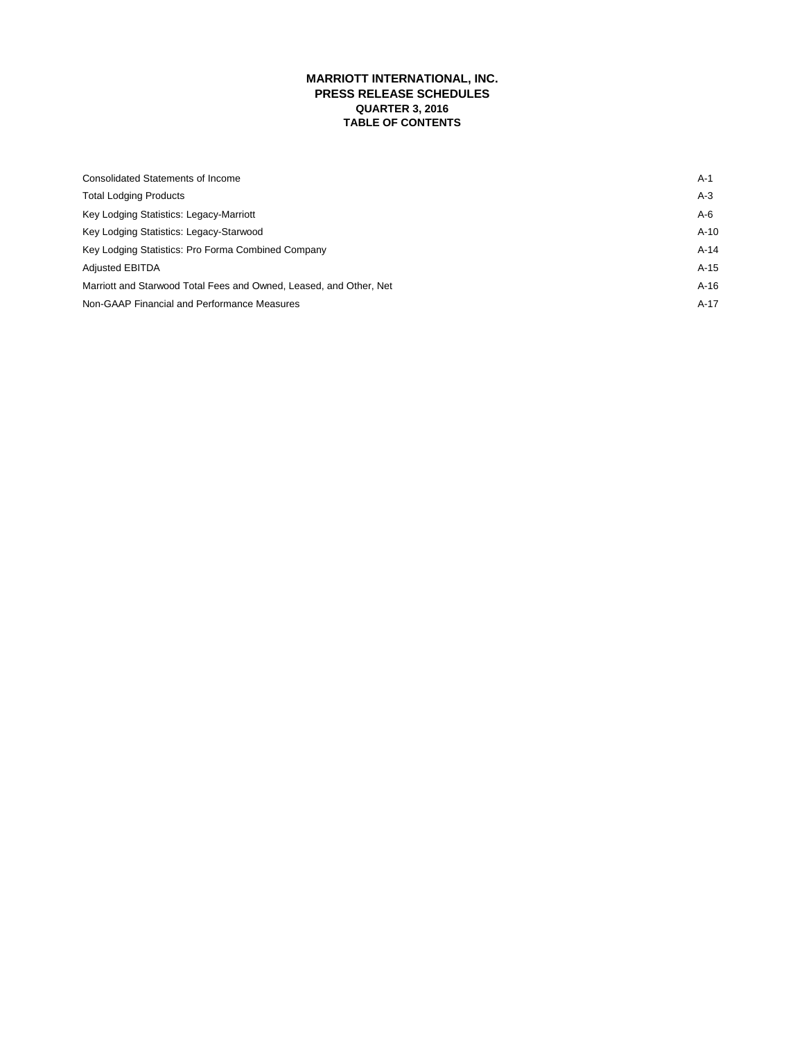# **MARRIOTT INTERNATIONAL, INC. PRESS RELEASE SCHEDULES QUARTER 3, 2016 TABLE OF CONTENTS**

| Consolidated Statements of Income                                  | A-1    |
|--------------------------------------------------------------------|--------|
| <b>Total Lodging Products</b>                                      | $A-3$  |
| Key Lodging Statistics: Legacy-Marriott                            | A-6    |
| Key Lodging Statistics: Legacy-Starwood                            | $A-10$ |
| Key Lodging Statistics: Pro Forma Combined Company                 | $A-14$ |
| <b>Adjusted EBITDA</b>                                             | $A-15$ |
| Marriott and Starwood Total Fees and Owned, Leased, and Other, Net | $A-16$ |
| Non-GAAP Financial and Performance Measures                        | $A-17$ |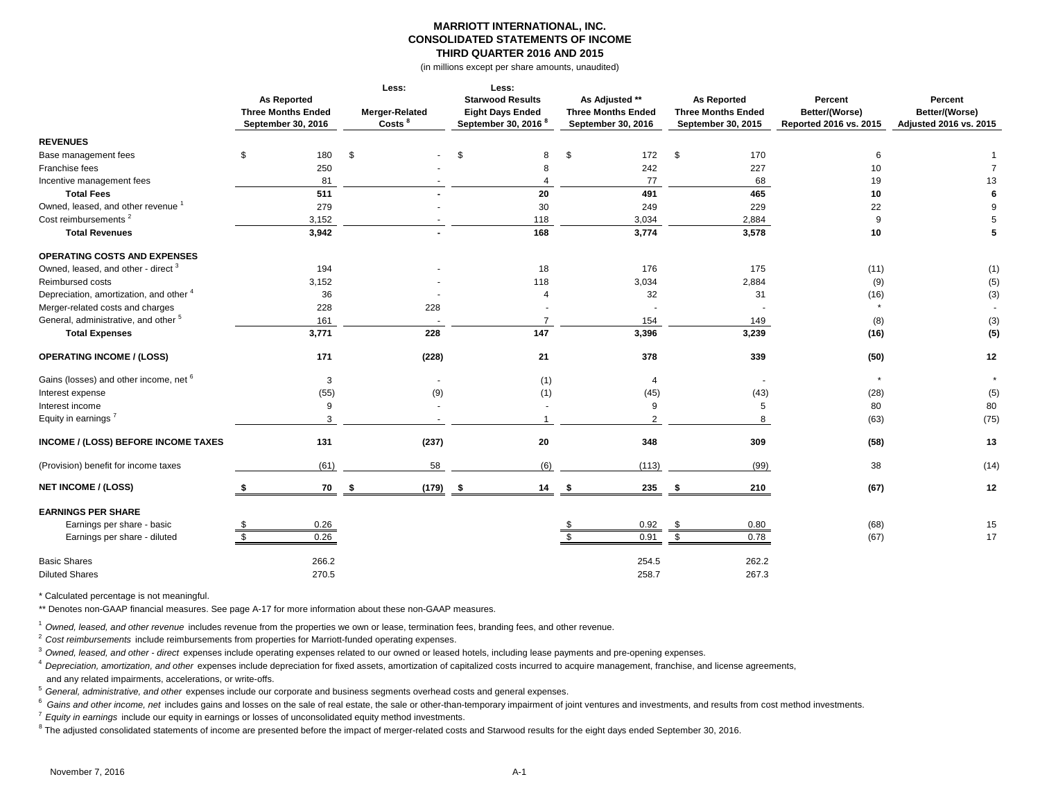### **MARRIOTT INTERNATIONAL, INC. CONSOLIDATED STATEMENTS OF INCOME THIRD QUARTER 2016 AND 2015**

(in millions except per share amounts, unaudited)

|                                                 | <b>As Reported</b><br><b>Three Months Ended</b><br>September 30, 2016 | Less:<br>Merger-Related<br>Costs <sup>8</sup> | Less:<br><b>Starwood Results</b><br><b>Eight Days Ended</b><br>September 30, 2016 <sup>8</sup> | As Adjusted **<br><b>Three Months Ended</b><br>September 30, 2016 | <b>As Reported</b><br><b>Three Months Ended</b><br>September 30, 2015 | Percent<br>Better/(Worse)<br>Reported 2016 vs. 2015 | Percent<br>Better/(Worse)<br>Adjusted 2016 vs. 2015 |
|-------------------------------------------------|-----------------------------------------------------------------------|-----------------------------------------------|------------------------------------------------------------------------------------------------|-------------------------------------------------------------------|-----------------------------------------------------------------------|-----------------------------------------------------|-----------------------------------------------------|
| <b>REVENUES</b>                                 |                                                                       |                                               |                                                                                                |                                                                   |                                                                       |                                                     |                                                     |
| Base management fees                            | 180<br>\$                                                             | \$                                            | \$<br>8                                                                                        | 172<br>\$                                                         | \$<br>170                                                             | 6                                                   |                                                     |
| Franchise fees                                  | 250                                                                   |                                               |                                                                                                | 242                                                               | 227                                                                   | 10                                                  | $\overline{7}$                                      |
| Incentive management fees                       | 81                                                                    |                                               |                                                                                                | 77                                                                | 68                                                                    | 19                                                  | 13                                                  |
| <b>Total Fees</b>                               | 511                                                                   |                                               | 20                                                                                             | 491                                                               | 465                                                                   | 10                                                  | 6                                                   |
| Owned, leased, and other revenue <sup>1</sup>   | 279                                                                   |                                               | 30                                                                                             | 249                                                               | 229                                                                   | 22                                                  | 9                                                   |
| Cost reimbursements <sup>2</sup>                | 3,152                                                                 |                                               | 118                                                                                            | 3,034                                                             | 2,884                                                                 | 9                                                   | 5                                                   |
| <b>Total Revenues</b>                           | 3,942                                                                 |                                               | 168                                                                                            | 3,774                                                             | 3,578                                                                 | 10                                                  | 5                                                   |
| OPERATING COSTS AND EXPENSES                    |                                                                       |                                               |                                                                                                |                                                                   |                                                                       |                                                     |                                                     |
| Owned, leased, and other - direct <sup>3</sup>  | 194                                                                   |                                               | 18                                                                                             | 176                                                               | 175                                                                   | (11)                                                | (1)                                                 |
| Reimbursed costs                                | 3,152                                                                 |                                               | 118                                                                                            | 3,034                                                             | 2,884                                                                 | (9)                                                 | (5)                                                 |
| Depreciation, amortization, and other 4         |                                                                       | 36                                            | 4                                                                                              | 32                                                                | 31                                                                    | (16)                                                | (3)                                                 |
| Merger-related costs and charges                | 228                                                                   | 228                                           |                                                                                                |                                                                   |                                                                       | $\star$                                             | $\sim$                                              |
| General, administrative, and other <sup>5</sup> | 161                                                                   |                                               | $\overline{7}$                                                                                 | 154                                                               | 149                                                                   | (8)                                                 | (3)                                                 |
| <b>Total Expenses</b>                           | 3,771                                                                 | 228                                           | 147                                                                                            | 3,396                                                             | 3,239                                                                 | (16)                                                | (5)                                                 |
| <b>OPERATING INCOME / (LOSS)</b>                | 171                                                                   | (228)                                         | 21                                                                                             | 378                                                               | 339                                                                   | (50)                                                | 12                                                  |
| Gains (losses) and other income, net 6          |                                                                       | 3                                             | (1)                                                                                            | 4                                                                 |                                                                       | $\star$                                             | $\star$                                             |
| Interest expense                                |                                                                       | (55)<br>(9)                                   | (1)                                                                                            | (45)                                                              | (43)                                                                  | (28)                                                | (5)                                                 |
| Interest income                                 |                                                                       | 9                                             |                                                                                                | 9                                                                 | 5                                                                     | 80                                                  | 80                                                  |
| Equity in earnings <sup>7</sup>                 |                                                                       | 3                                             |                                                                                                | $\mathcal{P}$                                                     | 8                                                                     | (63)                                                | (75)                                                |
| <b>INCOME / (LOSS) BEFORE INCOME TAXES</b>      | 131                                                                   | (237)                                         | 20                                                                                             | 348                                                               | 309                                                                   | (58)                                                | 13                                                  |
| (Provision) benefit for income taxes            |                                                                       | (61)<br>58                                    | (6)                                                                                            | (113)                                                             | (99)                                                                  | 38                                                  | (14)                                                |
| <b>NET INCOME / (LOSS)</b>                      |                                                                       | 70<br>(179)<br>-9                             | 14<br>-\$                                                                                      | 235<br>- \$                                                       | 210<br>- \$                                                           | (67)                                                | 12                                                  |
| <b>EARNINGS PER SHARE</b>                       |                                                                       |                                               |                                                                                                |                                                                   |                                                                       |                                                     |                                                     |
| Earnings per share - basic                      | 0.26                                                                  |                                               |                                                                                                | 0.92                                                              | 0.80<br>- \$                                                          | (68)                                                | 15                                                  |
| Earnings per share - diluted                    | 0.26                                                                  |                                               |                                                                                                | 0.91                                                              | 0.78                                                                  | (67)                                                | 17                                                  |
| <b>Basic Shares</b>                             | 266.2                                                                 |                                               |                                                                                                | 254.5                                                             | 262.2                                                                 |                                                     |                                                     |
| <b>Diluted Shares</b>                           | 270.5                                                                 |                                               |                                                                                                | 258.7                                                             | 267.3                                                                 |                                                     |                                                     |

\* Calculated percentage is not meaningful.

\*\* Denotes non-GAAP financial measures. See page A-17 for more information about these non-GAAP measures.

<sup>1</sup>*Owned, leased, and other revenue* includes revenue from the properties we own or lease, termination fees, branding fees, and other revenue.

<sup>2</sup>*Cost reimbursements* include reimbursements from properties for Marriott-funded operating expenses.

<sup>3</sup>*Owned, leased, and other - direct* expenses include operating expenses related to our owned or leased hotels, including lease payments and pre-opening expenses.

<sup>4</sup>*Depreciation, amortization, and other* expenses include depreciation for fixed assets, amortization of capitalized costs incurred to acquire management, franchise, and license agreements, and any related impairments, accelerations, or write-offs.

<sup>5</sup>*General, administrative, and other* expenses include our corporate and business segments overhead costs and general expenses.

<sup>6</sup> Gains and other income, net includes gains and losses on the sale of real estate, the sale or other-than-temporary impairment of joint ventures and investments, and results from cost method investments.

<sup>7</sup>*Equity in earnings* include our equity in earnings or losses of unconsolidated equity method investments.

 $^8$  The adjusted consolidated statements of income are presented before the impact of merger-related costs and Starwood results for the eight days ended September 30, 2016.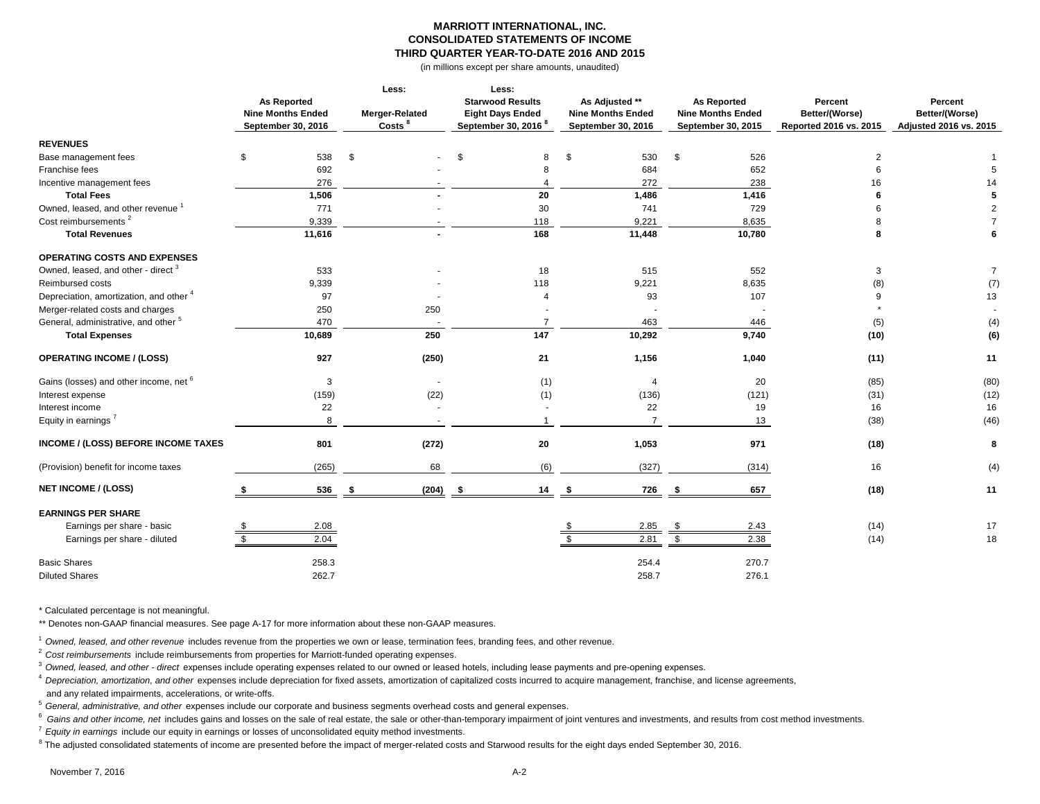### **MARRIOTT INTERNATIONAL, INC. CONSOLIDATED STATEMENTS OF INCOME THIRD QUARTER YEAR-TO-DATE 2016 AND 2015**

(in millions except per share amounts, unaudited)

|                                                   |                          | Less:              | Less:                           |                          |                          |                        |                        |  |
|---------------------------------------------------|--------------------------|--------------------|---------------------------------|--------------------------|--------------------------|------------------------|------------------------|--|
|                                                   | <b>As Reported</b>       |                    | <b>Starwood Results</b>         | As Adjusted **           | <b>As Reported</b>       | Percent                | Percent                |  |
|                                                   | <b>Nine Months Ended</b> | Merger-Related     | <b>Eight Days Ended</b>         | <b>Nine Months Ended</b> | <b>Nine Months Ended</b> | Better/(Worse)         | Better/(Worse)         |  |
|                                                   | September 30, 2016       | Costs <sup>8</sup> | September 30, 2016 <sup>8</sup> | September 30, 2016       | September 30, 2015       | Reported 2016 vs. 2015 | Adjusted 2016 vs. 2015 |  |
| <b>REVENUES</b>                                   |                          |                    |                                 |                          |                          |                        |                        |  |
| Base management fees                              | 538<br>\$                | \$                 | \$<br>8                         | \$<br>530                | \$<br>526                | $\overline{2}$         |                        |  |
| Franchise fees                                    | 692                      |                    | 8                               | 684                      | 652                      | 6                      |                        |  |
| Incentive management fees                         | 276                      |                    |                                 | 272                      | 238                      | 16                     | 14                     |  |
| <b>Total Fees</b>                                 | 1,506                    |                    | 20                              | 1,486                    | 1,416                    | 6                      | 5                      |  |
| Owned. leased, and other revenue 1                | 771                      |                    | 30                              | 741                      | 729                      |                        | $\overline{2}$         |  |
| Cost reimbursements <sup>2</sup>                  | 9,339                    |                    | 118                             | 9,221                    | 8,635                    |                        | $\overline{7}$         |  |
| <b>Total Revenues</b>                             | 11,616                   |                    | 168                             | 11,448                   | 10,780                   | 8                      | 6                      |  |
| <b>OPERATING COSTS AND EXPENSES</b>               |                          |                    |                                 |                          |                          |                        |                        |  |
| Owned, leased, and other - direct <sup>3</sup>    | 533                      |                    | 18                              | 515                      | 552                      | 3                      | $\overline{7}$         |  |
| Reimbursed costs                                  | 9,339                    |                    | 118                             | 9,221                    | 8,635                    | (8)                    | (7)                    |  |
| Depreciation, amortization, and other 4           | 97                       |                    | $\overline{4}$                  | 93                       | 107                      | 9                      | 13                     |  |
| Merger-related costs and charges                  | 250                      | 250                |                                 |                          |                          |                        |                        |  |
| General, administrative, and other <sup>5</sup>   | 470                      |                    | $\overline{7}$                  | 463                      | 446                      | (5)                    | (4)                    |  |
| <b>Total Expenses</b>                             | 10,689                   | 250                | 147                             | 10,292                   | 9,740                    | (10)                   | (6)                    |  |
| <b>OPERATING INCOME / (LOSS)</b>                  | 927                      | (250)              | 21                              | 1,156                    | 1,040                    | (11)                   | 11                     |  |
| Gains (losses) and other income, net <sup>6</sup> |                          | 3                  | (1)                             | 4                        | 20                       | (85)                   | (80)                   |  |
| Interest expense                                  | (159)                    | (22)               | (1)                             | (136)                    | (121)                    | (31)                   | (12)                   |  |
| Interest income                                   | 22                       |                    |                                 | 22                       | 19                       | 16                     | 16                     |  |
| Equity in earnings <sup>7</sup>                   |                          | 8                  |                                 | $\overline{7}$           | 13                       | (38)                   | (46)                   |  |
| INCOME / (LOSS) BEFORE INCOME TAXES               | 801                      | (272)              | 20                              | 1,053                    | 971                      | (18)                   | 8                      |  |
| (Provision) benefit for income taxes              | (265)                    | 68                 | (6)                             | (327)                    | (314)                    | 16                     | (4)                    |  |
| <b>NET INCOME / (LOSS)</b>                        | 536                      | (204)              | 14<br>- 9                       | 726<br>-9                | 657<br>- \$              | (18)                   | 11                     |  |
| <b>EARNINGS PER SHARE</b>                         |                          |                    |                                 |                          |                          |                        |                        |  |
| Earnings per share - basic                        | 2.08                     |                    |                                 | 2.85                     | 2.43<br>\$               | (14)                   | 17                     |  |
| Earnings per share - diluted                      | 2.04                     |                    |                                 | 2.81                     | 2.38<br>\$               | (14)                   | 18                     |  |
| <b>Basic Shares</b>                               | 258.3                    |                    |                                 | 254.4                    | 270.7                    |                        |                        |  |
| <b>Diluted Shares</b>                             | 262.7                    |                    |                                 | 258.7                    | 276.1                    |                        |                        |  |

\* Calculated percentage is not meaningful.

\*\* Denotes non-GAAP financial measures. See page A-17 for more information about these non-GAAP measures.

<sup>1</sup>*Owned, leased, and other revenue* includes revenue from the properties we own or lease, termination fees, branding fees, and other revenue.

<sup>2</sup>*Cost reimbursements* include reimbursements from properties for Marriott-funded operating expenses.

<sup>3</sup>*Owned, leased, and other - direct* expenses include operating expenses related to our owned or leased hotels, including lease payments and pre-opening expenses.

<sup>4</sup>*Depreciation, amortization, and other* expenses include depreciation for fixed assets, amortization of capitalized costs incurred to acquire management, franchise, and license agreements, and any related impairments, accelerations, or write-offs.

<sup>5</sup>*General, administrative, and other* expenses include our corporate and business segments overhead costs and general expenses.

<sup>6</sup> Gains and other income, net includes gains and losses on the sale of real estate, the sale or other-than-temporary impairment of joint ventures and investments, and results from cost method investments.

<sup>7</sup>*Equity in earnings* include our equity in earnings or losses of unconsolidated equity method investments.

 $^8$  The adjusted consolidated statements of income are presented before the impact of merger-related costs and Starwood results for the eight days ended September 30, 2016.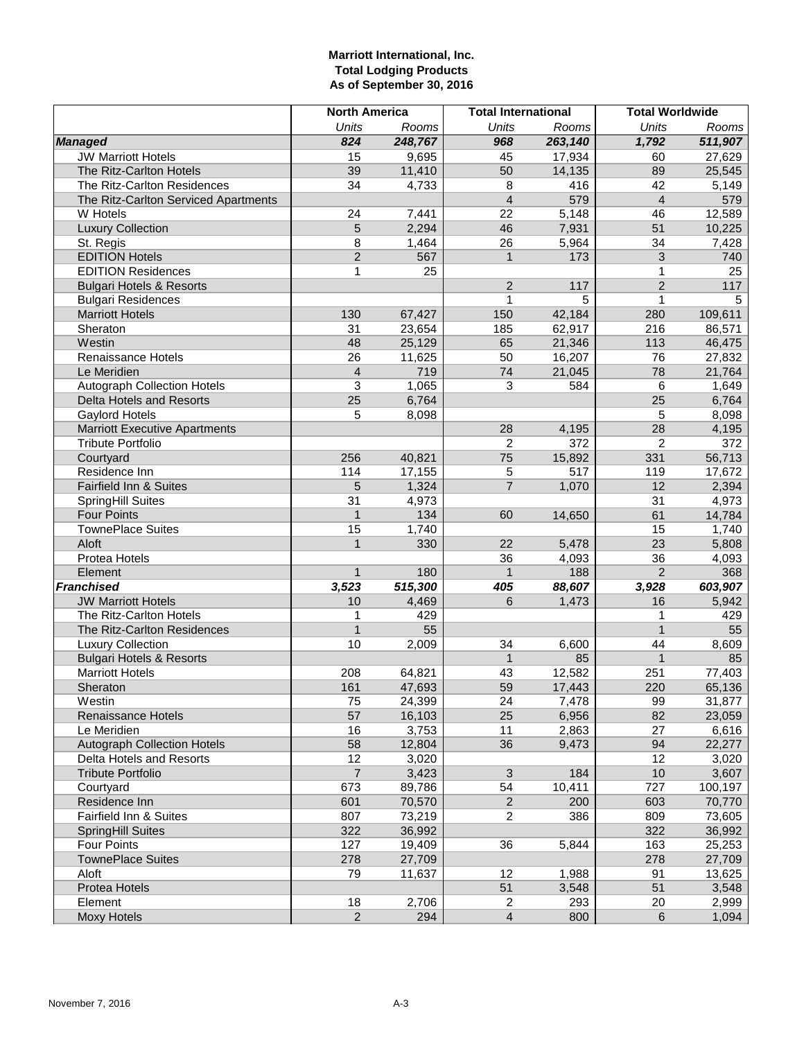# **Marriott International, Inc. Total Lodging Products As of September 30, 2016**

|                                      | <b>North America</b> |         | <b>Total International</b> |         |                | <b>Total Worldwide</b> |
|--------------------------------------|----------------------|---------|----------------------------|---------|----------------|------------------------|
|                                      | <b>Units</b>         | Rooms   | <b>Units</b>               | Rooms   | <b>Units</b>   | Rooms                  |
| <b>Managed</b>                       | 824                  | 248,767 | 968                        | 263,140 | 1,792          | 511,907                |
| <b>JW Marriott Hotels</b>            | 15                   | 9,695   | 45                         | 17,934  | 60             | 27,629                 |
| The Ritz-Carlton Hotels              | 39                   | 11,410  | 50                         | 14,135  | 89             | 25,545                 |
| The Ritz-Carlton Residences          | 34                   | 4,733   | 8                          | 416     | 42             | 5,149                  |
| The Ritz-Carlton Serviced Apartments |                      |         | $\overline{\mathcal{L}}$   | 579     | $\overline{4}$ | 579                    |
| W Hotels                             | 24                   | 7,441   | 22                         | 5,148   | 46             | 12,589                 |
| <b>Luxury Collection</b>             | 5                    | 2,294   | 46                         | 7,931   | 51             | 10,225                 |
| St. Regis                            | 8                    | 1,464   | 26                         | 5,964   | 34             | 7,428                  |
| <b>EDITION Hotels</b>                | $\overline{2}$       | 567     | $\mathbf{1}$               | 173     | 3              | 740                    |
| <b>EDITION Residences</b>            | 1                    | 25      |                            |         | 1              | 25                     |
| <b>Bulgari Hotels &amp; Resorts</b>  |                      |         | $\overline{c}$             | 117     | $\overline{2}$ | 117                    |
| <b>Bulgari Residences</b>            |                      |         | $\mathbf{1}$               | 5       | $\mathbf{1}$   | 5                      |
| <b>Marriott Hotels</b>               | 130                  | 67,427  | 150                        | 42,184  | 280            | 109,611                |
| Sheraton                             | 31                   | 23,654  | 185                        | 62,917  | 216            | 86,571                 |
| Westin                               | 48                   | 25,129  | 65                         | 21,346  | 113            | 46,475                 |
| Renaissance Hotels                   | 26                   | 11,625  | 50                         | 16,207  | 76             | 27,832                 |
| Le Meridien                          | $\overline{4}$       | 719     | 74                         | 21,045  | 78             | 21,764                 |
| <b>Autograph Collection Hotels</b>   | 3                    | 1,065   | 3                          | 584     | 6              | 1,649                  |
| Delta Hotels and Resorts             | 25                   | 6,764   |                            |         | 25             | 6,764                  |
| Gaylord Hotels                       | 5                    | 8,098   |                            |         | 5              | 8,098                  |
| <b>Marriott Executive Apartments</b> |                      |         | 28                         | 4,195   | 28             | 4,195                  |
| <b>Tribute Portfolio</b>             |                      |         | $\overline{2}$             | 372     | 2              | 372                    |
| Courtyard                            | 256                  | 40,821  | 75                         | 15,892  | 331            | 56,713                 |
| Residence Inn                        | 114                  | 17,155  | 5                          | 517     | 119            | 17,672                 |
| Fairfield Inn & Suites               | 5                    | 1,324   | $\overline{7}$             | 1,070   | 12             | 2,394                  |
| SpringHill Suites                    | 31                   | 4,973   |                            |         | 31             | 4,973                  |
| <b>Four Points</b>                   | $\mathbf{1}$         | 134     | 60                         | 14,650  | 61             | 14,784                 |
| <b>TownePlace Suites</b>             | 15                   | 1,740   |                            |         | 15             | 1,740                  |
| Aloft                                | $\overline{1}$       | 330     | 22                         | 5,478   | 23             | 5,808                  |
| Protea Hotels                        |                      |         | 36                         | 4,093   | 36             | 4,093                  |
| Element                              | $\mathbf{1}$         | 180     | $\mathbf{1}$               | 188     | $\overline{2}$ | 368                    |
| <b>Franchised</b>                    | 3,523                | 515,300 | 405                        | 88,607  | 3,928          | 603,907                |
| <b>JW Marriott Hotels</b>            | 10                   | 4,469   | 6                          | 1,473   | 16             | 5,942                  |
| The Ritz-Carlton Hotels              | 1                    | 429     |                            |         | 1              | 429                    |
| The Ritz-Carlton Residences          | $\overline{1}$       | 55      |                            |         | $\mathbf{1}$   | 55                     |
| <b>Luxury Collection</b>             | 10                   | 2,009   | 34                         | 6,600   | 44             | 8,609                  |
| <b>Bulgari Hotels &amp; Resorts</b>  |                      |         | $\mathbf{1}$               | 85      | $\mathbf{1}$   | 85                     |
| <b>Marriott Hotels</b>               | 208                  | 64,821  | 43                         | 12,582  | 251            | 77,403                 |
| Sheraton                             | 161                  | 47,693  | 59                         | 17,443  | 220            | 65,136                 |
| Westin                               | 75                   | 24,399  | 24                         | 7,478   | 99             | 31,877                 |
| Renaissance Hotels                   | 57                   | 16,103  | 25                         | 6,956   | 82             | 23,059                 |
| Le Meridien                          | 16                   | 3,753   | 11                         | 2,863   | 27             | 6,616                  |
| <b>Autograph Collection Hotels</b>   | 58                   | 12,804  | 36                         | 9,473   | 94             | 22,277                 |
| Delta Hotels and Resorts             | 12                   | 3,020   |                            |         | 12             | 3,020                  |
| <b>Tribute Portfolio</b>             | $\overline{7}$       | 3,423   | $\mathbf{3}$               | 184     | $10$           | 3,607                  |
| Courtyard                            | 673                  | 89,786  | 54                         | 10,411  | 727            | 100,197                |
| Residence Inn                        | 601                  | 70,570  | $\overline{2}$             | 200     | 603            | 70,770                 |
| Fairfield Inn & Suites               | 807                  | 73,219  | 2                          | 386     | 809            | 73,605                 |
| <b>SpringHill Suites</b>             | 322                  | 36,992  |                            |         | 322            | 36,992                 |
| <b>Four Points</b>                   | 127                  | 19,409  | 36                         | 5,844   | 163            | 25,253                 |
| <b>TownePlace Suites</b>             | 278                  | 27,709  |                            |         | 278            | 27,709                 |
| Aloft                                | 79                   | 11,637  | 12                         | 1,988   | 91             | 13,625                 |
| Protea Hotels                        |                      |         | 51                         | 3,548   | 51             | 3,548                  |
| Element                              | 18                   | 2,706   | $\overline{c}$             | 293     | 20             | 2,999                  |
| <b>Moxy Hotels</b>                   | $\overline{2}$       | 294     | $\overline{4}$             | 800     | 6              | 1,094                  |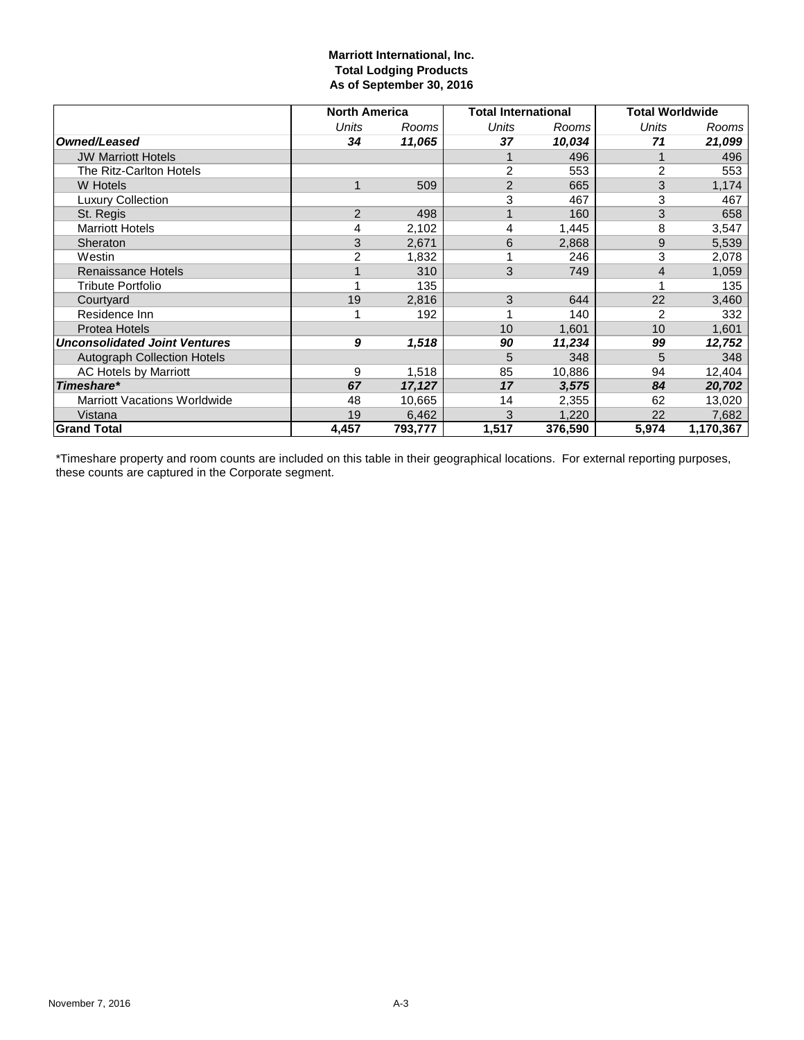# **Marriott International, Inc. Total Lodging Products As of September 30, 2016**

|                                      | <b>North America</b> |         | <b>Total International</b> |         | <b>Total Worldwide</b> |           |
|--------------------------------------|----------------------|---------|----------------------------|---------|------------------------|-----------|
|                                      | Units                | Rooms   | Units                      | Rooms   | Units                  | Rooms     |
| Owned/Leased                         | 34                   | 11,065  | 37                         | 10,034  | 71                     | 21,099    |
| <b>JW Marriott Hotels</b>            |                      |         |                            | 496     |                        | 496       |
| The Ritz-Carlton Hotels              |                      |         | 2                          | 553     | $\overline{c}$         | 553       |
| <b>W</b> Hotels                      | $\mathbf 1$          | 509     | 2                          | 665     | 3                      | 1,174     |
| <b>Luxury Collection</b>             |                      |         | 3                          | 467     | 3                      | 467       |
| St. Regis                            | $\overline{2}$       | 498     |                            | 160     | 3                      | 658       |
| <b>Marriott Hotels</b>               | 4                    | 2,102   | 4                          | 1,445   | 8                      | 3,547     |
| Sheraton                             | 3                    | 2,671   | 6                          | 2,868   | 9                      | 5,539     |
| Westin                               | $\overline{c}$       | 1,832   |                            | 246     | 3                      | 2,078     |
| Renaissance Hotels                   |                      | 310     | 3                          | 749     | 4                      | 1,059     |
| <b>Tribute Portfolio</b>             |                      | 135     |                            |         |                        | 135       |
| Courtyard                            | 19                   | 2,816   | 3                          | 644     | 22                     | 3,460     |
| Residence Inn                        |                      | 192     |                            | 140     | 2                      | 332       |
| <b>Protea Hotels</b>                 |                      |         | 10                         | 1,601   | 10                     | 1,601     |
| <b>Unconsolidated Joint Ventures</b> | 9                    | 1,518   | 90                         | 11,234  | 99                     | 12,752    |
| <b>Autograph Collection Hotels</b>   |                      |         | 5                          | 348     | 5                      | 348       |
| AC Hotels by Marriott                | 9                    | 1,518   | 85                         | 10,886  | 94                     | 12,404    |
| Timeshare*                           | 67                   | 17,127  | 17                         | 3,575   | 84                     | 20,702    |
| <b>Marriott Vacations Worldwide</b>  | 48                   | 10,665  | 14                         | 2,355   | 62                     | 13,020    |
| Vistana                              | 19                   | 6,462   | 3                          | 1,220   | 22                     | 7,682     |
| <b>Grand Total</b>                   | 4,457                | 793,777 | 1,517                      | 376,590 | 5,974                  | 1,170,367 |

\*Timeshare property and room counts are included on this table in their geographical locations. For external reporting purposes, these counts are captured in the Corporate segment.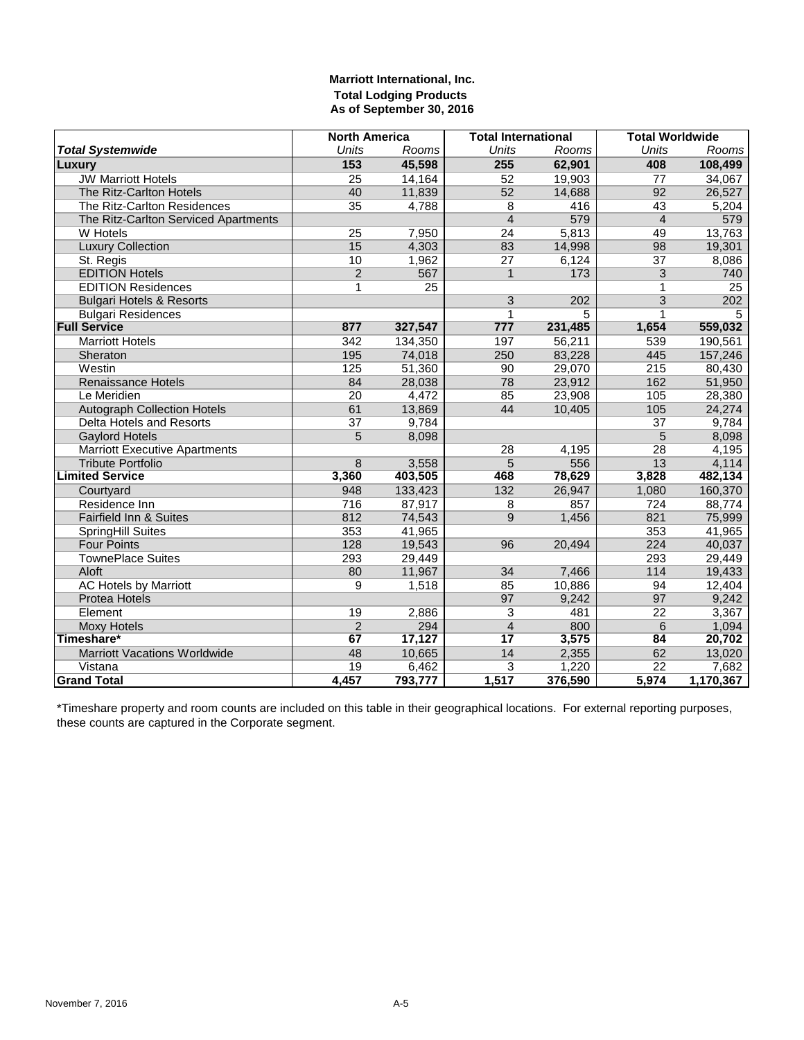# **Marriott International, Inc. Total Lodging Products As of September 30, 2016**

|                                      | <b>North America</b> |         | <b>Total International</b> |         | <b>Total Worldwide</b> |           |
|--------------------------------------|----------------------|---------|----------------------------|---------|------------------------|-----------|
| <b>Total Systemwide</b>              | <b>Units</b>         | Rooms   | Units                      | Rooms   | <b>Units</b>           | Rooms     |
| Luxury                               | 153                  | 45,598  | 255                        | 62,901  | 408                    | 108,499   |
| <b>JW Marriott Hotels</b>            | 25                   | 14,164  | 52                         | 19,903  | 77                     | 34,067    |
| The Ritz-Carlton Hotels              | 40                   | 11,839  | 52                         | 14,688  | 92                     | 26,527    |
| The Ritz-Carlton Residences          | 35                   | 4,788   | 8                          | 416     | 43                     | 5,204     |
| The Ritz-Carlton Serviced Apartments |                      |         | $\overline{4}$             | 579     | $\overline{4}$         | 579       |
| W Hotels                             | $\overline{25}$      | 7,950   | $\overline{24}$            | 5,813   | 49                     | 13,763    |
| <b>Luxury Collection</b>             | 15                   | 4,303   | 83                         | 14,998  | 98                     | 19,301    |
| St. Regis                            | 10                   | 1,962   | 27                         | 6,124   | 37                     | 8,086     |
| <b>EDITION Hotels</b>                | $\overline{2}$       | 567     | $\mathbf{1}$               | 173     | 3                      | 740       |
| <b>EDITION Residences</b>            | 1                    | 25      |                            |         | 1                      | 25        |
| <b>Bulgari Hotels &amp; Resorts</b>  |                      |         | 3                          | 202     | $\overline{3}$         | 202       |
| <b>Bulgari Residences</b>            |                      |         | $\mathbf 1$                | 5       | 1                      | 5         |
| <b>Full Service</b>                  | 877                  | 327,547 | 777                        | 231,485 | 1,654                  | 559,032   |
| <b>Marriott Hotels</b>               | 342                  | 134,350 | 197                        | 56,211  | 539                    | 190,561   |
| Sheraton                             | 195                  | 74,018  | 250                        | 83,228  | 445                    | 157,246   |
| Westin                               | 125                  | 51,360  | 90                         | 29,070  | 215                    | 80,430    |
| <b>Renaissance Hotels</b>            | 84                   | 28,038  | 78                         | 23,912  | 162                    | 51,950    |
| Le Meridien                          | 20                   | 4,472   | 85                         | 23,908  | 105                    | 28,380    |
| <b>Autograph Collection Hotels</b>   | 61                   | 13,869  | 44                         | 10,405  | 105                    | 24,274    |
| Delta Hotels and Resorts             | 37                   | 9,784   |                            |         | 37                     | 9,784     |
| <b>Gaylord Hotels</b>                | 5                    | 8,098   |                            |         | 5                      | 8,098     |
| <b>Marriott Executive Apartments</b> |                      |         | 28                         | 4,195   | $\overline{28}$        | 4,195     |
| <b>Tribute Portfolio</b>             | 8                    | 3,558   | 5                          | 556     | 13                     | 4,114     |
| <b>Limited Service</b>               | 3,360                | 403,505 | 468                        | 78,629  | 3,828                  | 482,134   |
| Courtyard                            | 948                  | 133,423 | 132                        | 26,947  | 1,080                  | 160,370   |
| Residence Inn                        | 716                  | 87,917  | 8                          | 857     | 724                    | 88,774    |
| Fairfield Inn & Suites               | 812                  | 74,543  | 9                          | 1,456   | 821                    | 75,999    |
| SpringHill Suites                    | 353                  | 41,965  |                            |         | 353                    | 41,965    |
| <b>Four Points</b>                   | 128                  | 19,543  | 96                         | 20,494  | 224                    | 40,037    |
| <b>TownePlace Suites</b>             | 293                  | 29,449  |                            |         | 293                    | 29,449    |
| Aloft                                | 80                   | 11,967  | 34                         | 7,466   | 114                    | 19,433    |
| <b>AC Hotels by Marriott</b>         | 9                    | 1,518   | 85                         | 10,886  | 94                     | 12,404    |
| <b>Protea Hotels</b>                 |                      |         | 97                         | 9,242   | 97                     | 9,242     |
| Element                              | 19                   | 2,886   | $\overline{3}$             | 481     | $\overline{22}$        | 3,367     |
| <b>Moxy Hotels</b>                   | $\overline{2}$       | 294     | $\overline{4}$             | 800     | 6                      | 1,094     |
| Timeshare*                           | 67                   | 17,127  | 17                         | 3,575   | 84                     | 20,702    |
| <b>Marriott Vacations Worldwide</b>  | 48                   | 10,665  | 14                         | 2,355   | 62                     | 13,020    |
| Vistana                              | 19                   | 6,462   | 3                          | 1,220   | 22                     | 7,682     |
| <b>Grand Total</b>                   | 4,457                | 793,777 | 1,517                      | 376,590 | 5,974                  | 1,170,367 |

\*Timeshare property and room counts are included on this table in their geographical locations. For external reporting purposes, these counts are captured in the Corporate segment.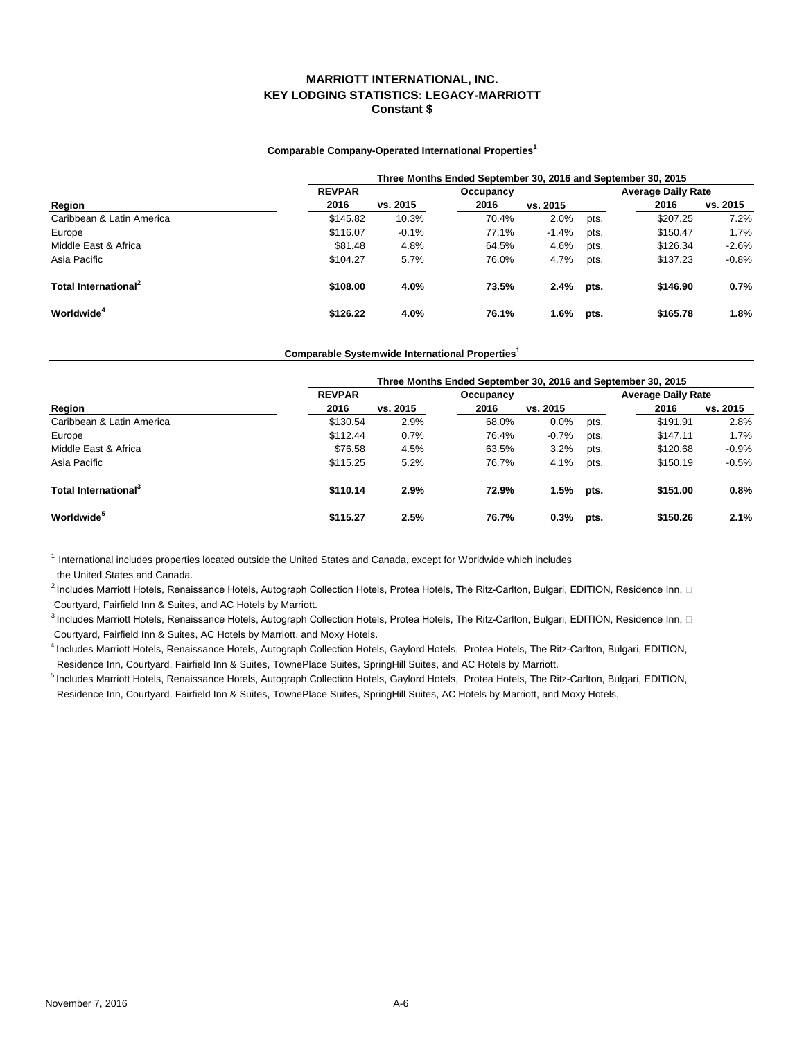### **Comparable Company-Operated International Properties<sup>1</sup>**

|                                  | Three Months Ended September 30, 2016 and September 30, 2015 |          |           |          |      |                           |          |  |  |
|----------------------------------|--------------------------------------------------------------|----------|-----------|----------|------|---------------------------|----------|--|--|
|                                  | <b>REVPAR</b>                                                |          | Occupancy |          |      | <b>Average Daily Rate</b> |          |  |  |
| Region                           | 2016                                                         | vs. 2015 | 2016      | vs. 2015 |      | 2016                      | vs. 2015 |  |  |
| Caribbean & Latin America        | \$145.82                                                     | 10.3%    | 70.4%     | 2.0%     | pts. | \$207.25                  | 7.2%     |  |  |
| Europe                           | \$116.07                                                     | $-0.1%$  | 77.1%     | $-1.4%$  | pts. | \$150.47                  | 1.7%     |  |  |
| Middle East & Africa             | \$81.48                                                      | 4.8%     | 64.5%     | 4.6%     | pts. | \$126.34                  | $-2.6%$  |  |  |
| Asia Pacific                     | \$104.27                                                     | 5.7%     | 76.0%     | 4.7%     | pts. | \$137.23                  | $-0.8%$  |  |  |
| Total International <sup>2</sup> | \$108.00                                                     | 4.0%     | 73.5%     | 2.4%     | pts. | \$146.90                  | 0.7%     |  |  |
| Worldwide <sup>4</sup>           | \$126.22                                                     | 4.0%     | 76.1%     | 1.6%     | pts. | \$165.78                  | 1.8%     |  |  |

### **Comparable Systemwide International Properties<sup>1</sup>**

|                                  | Three Months Ended September 30, 2016 and September 30, 2015 |          |           |          |      |                           |          |  |  |
|----------------------------------|--------------------------------------------------------------|----------|-----------|----------|------|---------------------------|----------|--|--|
|                                  | <b>REVPAR</b>                                                |          | Occupancy |          |      | <b>Average Daily Rate</b> |          |  |  |
| Region                           | 2016                                                         | vs. 2015 | 2016      | vs. 2015 |      | 2016                      | vs. 2015 |  |  |
| Caribbean & Latin America        | \$130.54                                                     | 2.9%     | 68.0%     | 0.0%     | pts. | \$191.91                  | 2.8%     |  |  |
| Europe                           | \$112.44                                                     | 0.7%     | 76.4%     | $-0.7%$  | pts. | \$147.11                  | 1.7%     |  |  |
| Middle East & Africa             | \$76.58                                                      | 4.5%     | 63.5%     | 3.2%     | pts. | \$120.68                  | $-0.9%$  |  |  |
| Asia Pacific                     | \$115.25                                                     | 5.2%     | 76.7%     | 4.1%     | pts. | \$150.19                  | $-0.5%$  |  |  |
| Total International <sup>3</sup> | \$110.14                                                     | 2.9%     | 72.9%     | 1.5%     | pts. | \$151.00                  | 0.8%     |  |  |
| <b>Worldwide</b> <sup>5</sup>    | \$115.27                                                     | 2.5%     | 76.7%     | 0.3%     | pts. | \$150.26                  | 2.1%     |  |  |

 $<sup>1</sup>$  International includes properties located outside the United States and Canada, except for Worldwide which includes</sup>

the United States and Canada.

 $^2$ Includes Marriott Hotels, Renaissance Hotels, Autograph Collection Hotels, Protea Hotels, The Ritz-Carlton, Bulgari, EDITION, Residence Inn,  $\Box$ Courtyard, Fairfield Inn & Suites, and AC Hotels by Marriott.

 $^3$ Includes Marriott Hotels, Renaissance Hotels, Autograph Collection Hotels, Protea Hotels, The Ritz-Carlton, Bulgari, EDITION, Residence Inn,  $\Box$ Courtyard, Fairfield Inn & Suites, AC Hotels by Marriott, and Moxy Hotels.

4 Includes Marriott Hotels, Renaissance Hotels, Autograph Collection Hotels, Gaylord Hotels, Protea Hotels, The Ritz-Carlton, Bulgari, EDITION, Residence Inn, Courtyard, Fairfield Inn & Suites, TownePlace Suites, SpringHill Suites, and AC Hotels by Marriott.

5 Includes Marriott Hotels, Renaissance Hotels, Autograph Collection Hotels, Gaylord Hotels, Protea Hotels, The Ritz-Carlton, Bulgari, EDITION, Residence Inn, Courtyard, Fairfield Inn & Suites, TownePlace Suites, SpringHill Suites, AC Hotels by Marriott, and Moxy Hotels.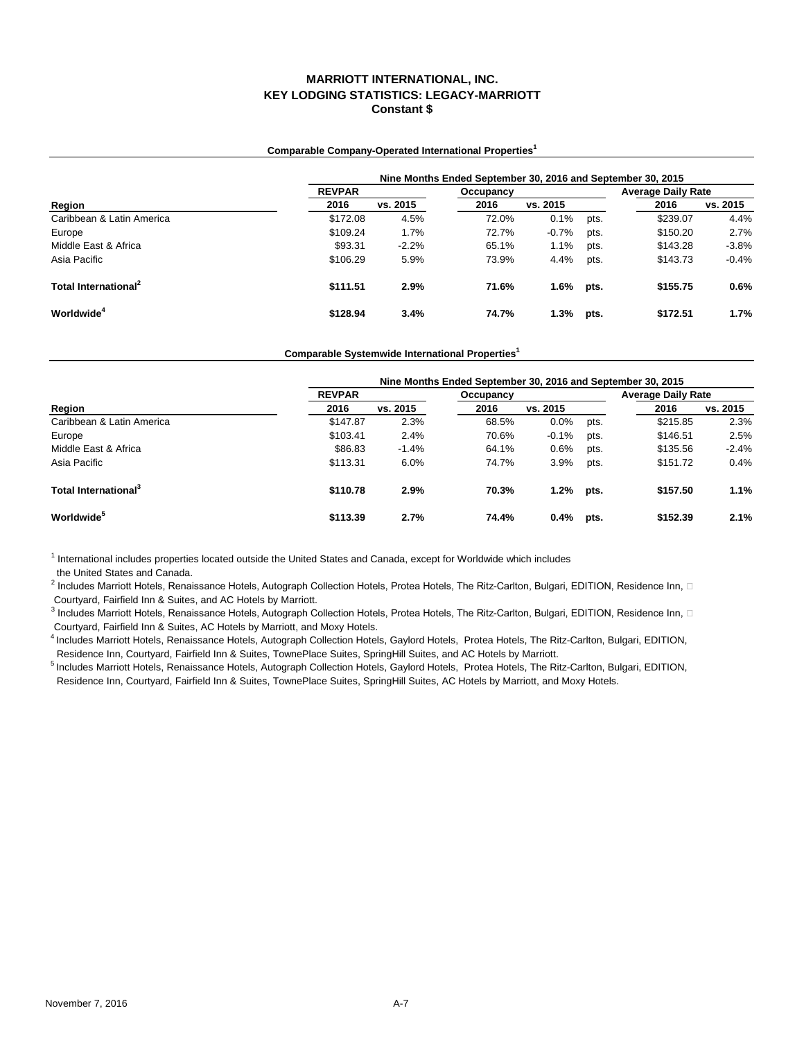### **Comparable Company-Operated International Properties<sup>1</sup>**

|                                  | Nine Months Ended September 30, 2016 and September 30, 2015 |          |           |          |      |                           |          |  |  |
|----------------------------------|-------------------------------------------------------------|----------|-----------|----------|------|---------------------------|----------|--|--|
|                                  | <b>REVPAR</b>                                               |          | Occupancy |          |      | <b>Average Daily Rate</b> |          |  |  |
| Region                           | 2016                                                        | vs. 2015 | 2016      | vs. 2015 |      | 2016                      | vs. 2015 |  |  |
| Caribbean & Latin America        | \$172.08                                                    | 4.5%     | 72.0%     | 0.1%     | pts. | \$239.07                  | 4.4%     |  |  |
| Europe                           | \$109.24                                                    | 1.7%     | 72.7%     | $-0.7%$  | pts. | \$150.20                  | 2.7%     |  |  |
| Middle East & Africa             | \$93.31                                                     | $-2.2%$  | 65.1%     | 1.1%     | pts. | \$143.28                  | $-3.8%$  |  |  |
| Asia Pacific                     | \$106.29                                                    | 5.9%     | 73.9%     | 4.4%     | pts. | \$143.73                  | $-0.4%$  |  |  |
| Total International <sup>2</sup> | \$111.51                                                    | 2.9%     | 71.6%     | 1.6%     | pts. | \$155.75                  | 0.6%     |  |  |
| Worldwide <sup>4</sup>           | \$128.94                                                    | 3.4%     | 74.7%     | 1.3%     | pts. | \$172.51                  | 1.7%     |  |  |

### **Comparable Systemwide International Properties<sup>1</sup>**

|                                  | Nine Months Ended September 30, 2016 and September 30, 2015 |          |           |          |      |                           |          |  |  |
|----------------------------------|-------------------------------------------------------------|----------|-----------|----------|------|---------------------------|----------|--|--|
|                                  | <b>REVPAR</b>                                               |          | Occupancy |          |      | <b>Average Daily Rate</b> |          |  |  |
| Region                           | 2016                                                        | vs. 2015 | 2016      | vs. 2015 |      | 2016                      | vs. 2015 |  |  |
| Caribbean & Latin America        | \$147.87                                                    | 2.3%     | 68.5%     | 0.0%     | pts. | \$215.85                  | 2.3%     |  |  |
| Europe                           | \$103.41                                                    | 2.4%     | 70.6%     | $-0.1%$  | pts. | \$146.51                  | 2.5%     |  |  |
| Middle East & Africa             | \$86.83                                                     | $-1.4%$  | 64.1%     | 0.6%     | pts. | \$135.56                  | $-2.4%$  |  |  |
| Asia Pacific                     | \$113.31                                                    | 6.0%     | 74.7%     | 3.9%     | pts. | \$151.72                  | 0.4%     |  |  |
| Total International <sup>3</sup> | \$110.78                                                    | 2.9%     | 70.3%     | 1.2%     | pts. | \$157.50                  | 1.1%     |  |  |
| <b>Worldwide</b> <sup>5</sup>    | \$113.39                                                    | 2.7%     | 74.4%     | 0.4%     | pts. | \$152.39                  | 2.1%     |  |  |

<sup>1</sup> International includes properties located outside the United States and Canada, except for Worldwide which includes

the United States and Canada.

 $^2$  Includes Marriott Hotels, Renaissance Hotels, Autograph Collection Hotels, Protea Hotels, The Ritz-Carlton, Bulgari, EDITION, Residence Inn,  $\Box$ Courtyard, Fairfield Inn & Suites, and AC Hotels by Marriott.

 $^3$  Includes Marriott Hotels, Renaissance Hotels, Autograph Collection Hotels, Protea Hotels, The Ritz-Carlton, Bulgari, EDITION, Residence Inn,  $\Box$ Courtyard, Fairfield Inn & Suites, AC Hotels by Marriott, and Moxy Hotels.

4 Includes Marriott Hotels, Renaissance Hotels, Autograph Collection Hotels, Gaylord Hotels, Protea Hotels, The Ritz-Carlton, Bulgari, EDITION, Residence Inn, Courtyard, Fairfield Inn & Suites, TownePlace Suites, SpringHill Suites, and AC Hotels by Marriott.

5 Includes Marriott Hotels, Renaissance Hotels, Autograph Collection Hotels, Gaylord Hotels, Protea Hotels, The Ritz-Carlton, Bulgari, EDITION,

Residence Inn, Courtyard, Fairfield Inn & Suites, TownePlace Suites, SpringHill Suites, AC Hotels by Marriott, and Moxy Hotels.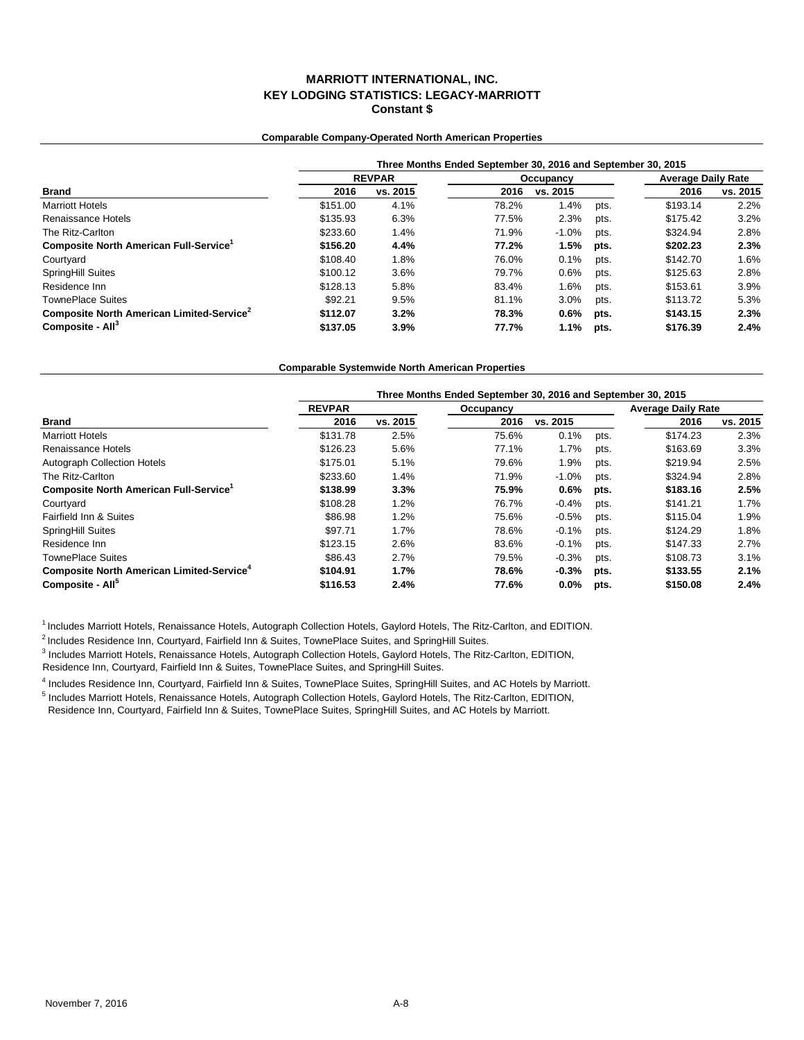### **Comparable Company-Operated North American Properties**

|                                                       | Three Months Ended September 30, 2016 and September 30, 2015 |               |       |           |                           |          |          |  |  |
|-------------------------------------------------------|--------------------------------------------------------------|---------------|-------|-----------|---------------------------|----------|----------|--|--|
|                                                       |                                                              | <b>REVPAR</b> |       | Occupancy | <b>Average Daily Rate</b> |          |          |  |  |
| <b>Brand</b>                                          | 2016                                                         | vs. 2015      | 2016  | vs. 2015  |                           | 2016     | vs. 2015 |  |  |
| <b>Marriott Hotels</b>                                | \$151.00                                                     | 4.1%          | 78.2% | 1.4%      | pts.                      | \$193.14 | 2.2%     |  |  |
| Renaissance Hotels                                    | \$135.93                                                     | 6.3%          | 77.5% | 2.3%      | pts.                      | \$175.42 | 3.2%     |  |  |
| The Ritz-Carlton                                      | \$233.60                                                     | 1.4%          | 71.9% | $-1.0%$   | pts.                      | \$324.94 | 2.8%     |  |  |
| Composite North American Full-Service <sup>1</sup>    | \$156.20                                                     | 4.4%          | 77.2% | 1.5%      | pts.                      | \$202.23 | 2.3%     |  |  |
| Courtyard                                             | \$108.40                                                     | 1.8%          | 76.0% | 0.1%      | pts.                      | \$142.70 | 1.6%     |  |  |
| <b>SpringHill Suites</b>                              | \$100.12                                                     | 3.6%          | 79.7% | 0.6%      | pts.                      | \$125.63 | 2.8%     |  |  |
| Residence Inn                                         | \$128.13                                                     | 5.8%          | 83.4% | 1.6%      | pts.                      | \$153.61 | 3.9%     |  |  |
| <b>TownePlace Suites</b>                              | \$92.21                                                      | 9.5%          | 81.1% | 3.0%      | pts.                      | \$113.72 | 5.3%     |  |  |
| Composite North American Limited-Service <sup>2</sup> | \$112.07                                                     | 3.2%          | 78.3% | $0.6\%$   | pts.                      | \$143.15 | 2.3%     |  |  |
| Composite - All <sup>3</sup>                          | \$137.05                                                     | 3.9%          | 77.7% | $1.1\%$   | pts.                      | \$176.39 | 2.4%     |  |  |

#### **Comparable Systemwide North American Properties**

|                                                              | Three Months Ended September 30, 2016 and September 30, 2015 |          |           |          |      |                           |          |  |  |
|--------------------------------------------------------------|--------------------------------------------------------------|----------|-----------|----------|------|---------------------------|----------|--|--|
|                                                              | <b>REVPAR</b>                                                |          | Occupancy |          |      | <b>Average Daily Rate</b> |          |  |  |
| <b>Brand</b>                                                 | 2016                                                         | vs. 2015 | 2016      | vs. 2015 |      | 2016                      | vs. 2015 |  |  |
| <b>Marriott Hotels</b>                                       | \$131.78                                                     | 2.5%     | 75.6%     | 0.1%     | pts. | \$174.23                  | 2.3%     |  |  |
| Renaissance Hotels                                           | \$126.23                                                     | 5.6%     | 77.1%     | 1.7%     | pts. | \$163.69                  | 3.3%     |  |  |
| Autograph Collection Hotels                                  | \$175.01                                                     | 5.1%     | 79.6%     | 1.9%     | pts. | \$219.94                  | 2.5%     |  |  |
| The Ritz-Carlton                                             | \$233.60                                                     | 1.4%     | 71.9%     | $-1.0%$  | pts. | \$324.94                  | 2.8%     |  |  |
| Composite North American Full-Service <sup>1</sup>           | \$138.99                                                     | 3.3%     | 75.9%     | 0.6%     | pts. | \$183.16                  | 2.5%     |  |  |
| Courtyard                                                    | \$108.28                                                     | 1.2%     | 76.7%     | $-0.4%$  | pts. | \$141.21                  | 1.7%     |  |  |
| Fairfield Inn & Suites                                       | \$86.98                                                      | 1.2%     | 75.6%     | $-0.5%$  | pts. | \$115.04                  | 1.9%     |  |  |
| SpringHill Suites                                            | \$97.71                                                      | 1.7%     | 78.6%     | $-0.1%$  | pts. | \$124.29                  | 1.8%     |  |  |
| Residence Inn                                                | \$123.15                                                     | 2.6%     | 83.6%     | $-0.1%$  | pts. | \$147.33                  | 2.7%     |  |  |
| <b>TownePlace Suites</b>                                     | \$86.43                                                      | 2.7%     | 79.5%     | $-0.3%$  | pts. | \$108.73                  | 3.1%     |  |  |
| <b>Composite North American Limited-Service</b> <sup>4</sup> | \$104.91                                                     | 1.7%     | 78.6%     | $-0.3%$  | pts. | \$133.55                  | 2.1%     |  |  |
| Composite - All <sup>5</sup>                                 | \$116.53                                                     | 2.4%     | 77.6%     | $0.0\%$  | pts. | \$150.08                  | 2.4%     |  |  |

<sup>1</sup> Includes Marriott Hotels, Renaissance Hotels, Autograph Collection Hotels, Gaylord Hotels, The Ritz-Carlton, and EDITION.

<sup>2</sup> Includes Residence Inn, Courtyard, Fairfield Inn & Suites, TownePlace Suites, and SpringHill Suites.

3 Includes Marriott Hotels, Renaissance Hotels, Autograph Collection Hotels, Gaylord Hotels, The Ritz-Carlton, EDITION,

Residence Inn, Courtyard, Fairfield Inn & Suites, TownePlace Suites, and SpringHill Suites.

4 Includes Residence Inn, Courtyard, Fairfield Inn & Suites, TownePlace Suites, SpringHill Suites, and AC Hotels by Marriott.

<sup>5</sup> Includes Marriott Hotels, Renaissance Hotels, Autograph Collection Hotels, Gaylord Hotels, The Ritz-Carlton, EDITION, Residence Inn, Courtyard, Fairfield Inn & Suites, TownePlace Suites, SpringHill Suites, and AC Hotels by Marriott.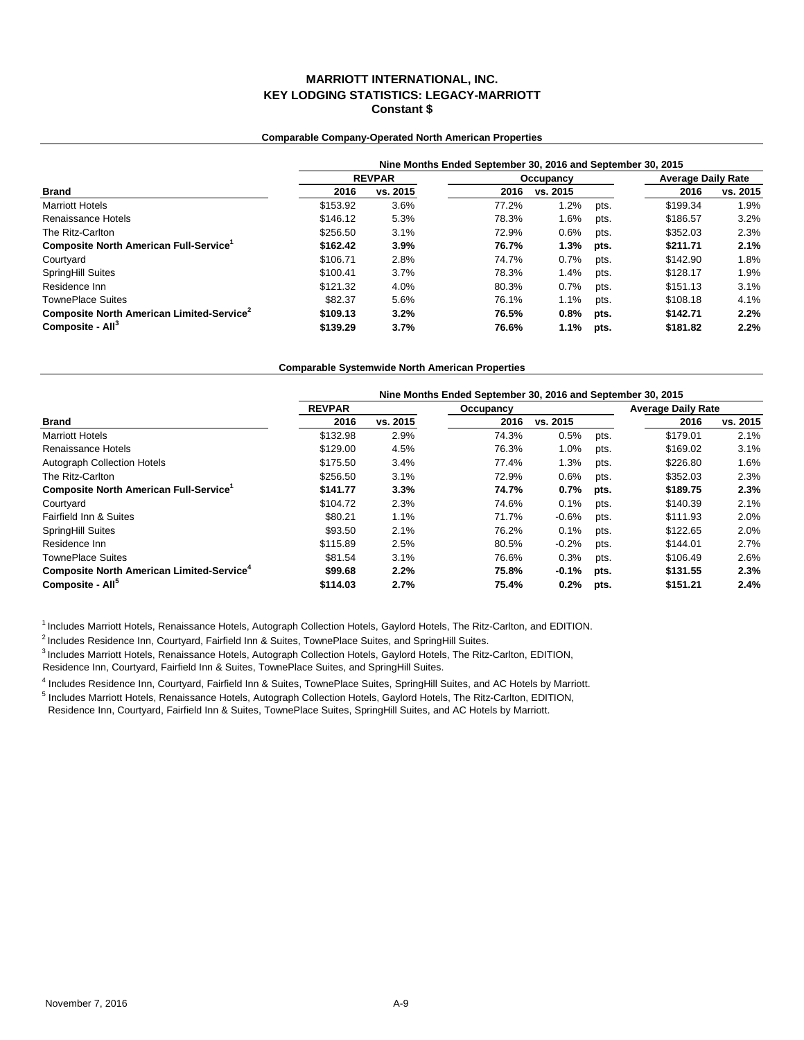### **Comparable Company-Operated North American Properties**

|                                                       | Nine Months Ended September 30, 2016 and September 30, 2015 |          |       |           |      |                           |          |  |  |  |
|-------------------------------------------------------|-------------------------------------------------------------|----------|-------|-----------|------|---------------------------|----------|--|--|--|
|                                                       | <b>REVPAR</b>                                               |          |       | Occupancy |      | <b>Average Daily Rate</b> |          |  |  |  |
| <b>Brand</b>                                          | 2016                                                        | vs. 2015 | 2016  | vs. 2015  |      | 2016                      | vs. 2015 |  |  |  |
| <b>Marriott Hotels</b>                                | \$153.92                                                    | 3.6%     | 77.2% | 1.2%      | pts. | \$199.34                  | 1.9%     |  |  |  |
| Renaissance Hotels                                    | \$146.12                                                    | 5.3%     | 78.3% | 1.6%      | pts. | \$186.57                  | 3.2%     |  |  |  |
| The Ritz-Carlton                                      | \$256.50                                                    | 3.1%     | 72.9% | 0.6%      | pts. | \$352.03                  | 2.3%     |  |  |  |
| Composite North American Full-Service <sup>1</sup>    | \$162.42                                                    | 3.9%     | 76.7% | 1.3%      | pts. | \$211.71                  | 2.1%     |  |  |  |
| Courtyard                                             | \$106.71                                                    | 2.8%     | 74.7% | 0.7%      | pts. | \$142.90                  | 1.8%     |  |  |  |
| <b>SpringHill Suites</b>                              | \$100.41                                                    | 3.7%     | 78.3% | 1.4%      | pts. | \$128.17                  | 1.9%     |  |  |  |
| Residence Inn                                         | \$121.32                                                    | 4.0%     | 80.3% | 0.7%      | pts. | \$151.13                  | 3.1%     |  |  |  |
| <b>TownePlace Suites</b>                              | \$82.37                                                     | 5.6%     | 76.1% | 1.1%      | pts. | \$108.18                  | 4.1%     |  |  |  |
| Composite North American Limited-Service <sup>2</sup> | \$109.13                                                    | 3.2%     | 76.5% | 0.8%      | pts. | \$142.71                  | 2.2%     |  |  |  |
| Composite - All <sup>3</sup>                          | \$139.29                                                    | 3.7%     | 76.6% | $1.1\%$   | pts. | \$181.82                  | 2.2%     |  |  |  |

#### **Comparable Systemwide North American Properties**

|                                                       | Nine Months Ended September 30, 2016 and September 30, 2015 |          |           |          |      |                           |          |  |  |  |  |
|-------------------------------------------------------|-------------------------------------------------------------|----------|-----------|----------|------|---------------------------|----------|--|--|--|--|
|                                                       | <b>REVPAR</b>                                               |          | Occupancy |          |      | <b>Average Daily Rate</b> |          |  |  |  |  |
| <b>Brand</b>                                          | 2016                                                        | vs. 2015 | 2016      | vs. 2015 |      | 2016                      | vs. 2015 |  |  |  |  |
| <b>Marriott Hotels</b>                                | \$132.98                                                    | 2.9%     | 74.3%     | 0.5%     | pts. | \$179.01                  | 2.1%     |  |  |  |  |
| Renaissance Hotels                                    | \$129.00                                                    | 4.5%     | 76.3%     | 1.0%     | pts. | \$169.02                  | 3.1%     |  |  |  |  |
| Autograph Collection Hotels                           | \$175.50                                                    | 3.4%     | 77.4%     | 1.3%     | pts. | \$226.80                  | 1.6%     |  |  |  |  |
| The Ritz-Carlton                                      | \$256.50                                                    | 3.1%     | 72.9%     | 0.6%     | pts. | \$352.03                  | 2.3%     |  |  |  |  |
| Composite North American Full-Service <sup>1</sup>    | \$141.77                                                    | 3.3%     | 74.7%     | 0.7%     | pts. | \$189.75                  | 2.3%     |  |  |  |  |
| Courtyard                                             | \$104.72                                                    | 2.3%     | 74.6%     | 0.1%     | pts. | \$140.39                  | 2.1%     |  |  |  |  |
| Fairfield Inn & Suites                                | \$80.21                                                     | 1.1%     | 71.7%     | $-0.6%$  | pts. | \$111.93                  | 2.0%     |  |  |  |  |
| SpringHill Suites                                     | \$93.50                                                     | 2.1%     | 76.2%     | 0.1%     | pts. | \$122.65                  | 2.0%     |  |  |  |  |
| Residence Inn                                         | \$115.89                                                    | 2.5%     | 80.5%     | $-0.2%$  | pts. | \$144.01                  | 2.7%     |  |  |  |  |
| <b>TownePlace Suites</b>                              | \$81.54                                                     | 3.1%     | 76.6%     | 0.3%     | pts. | \$106.49                  | 2.6%     |  |  |  |  |
| Composite North American Limited-Service <sup>4</sup> | \$99.68                                                     | 2.2%     | 75.8%     | $-0.1%$  | pts. | \$131.55                  | 2.3%     |  |  |  |  |
| Composite - All <sup>5</sup>                          | \$114.03                                                    | 2.7%     | 75.4%     | 0.2%     | pts. | \$151.21                  | 2.4%     |  |  |  |  |

<sup>1</sup> Includes Marriott Hotels, Renaissance Hotels, Autograph Collection Hotels, Gaylord Hotels, The Ritz-Carlton, and EDITION.

<sup>2</sup> Includes Residence Inn, Courtyard, Fairfield Inn & Suites, TownePlace Suites, and SpringHill Suites.

3 Includes Marriott Hotels, Renaissance Hotels, Autograph Collection Hotels, Gaylord Hotels, The Ritz-Carlton, EDITION,

Residence Inn, Courtyard, Fairfield Inn & Suites, TownePlace Suites, and SpringHill Suites.

4 Includes Residence Inn, Courtyard, Fairfield Inn & Suites, TownePlace Suites, SpringHill Suites, and AC Hotels by Marriott.

<sup>5</sup> Includes Marriott Hotels, Renaissance Hotels, Autograph Collection Hotels, Gaylord Hotels, The Ritz-Carlton, EDITION, Residence Inn, Courtyard, Fairfield Inn & Suites, TownePlace Suites, SpringHill Suites, and AC Hotels by Marriott.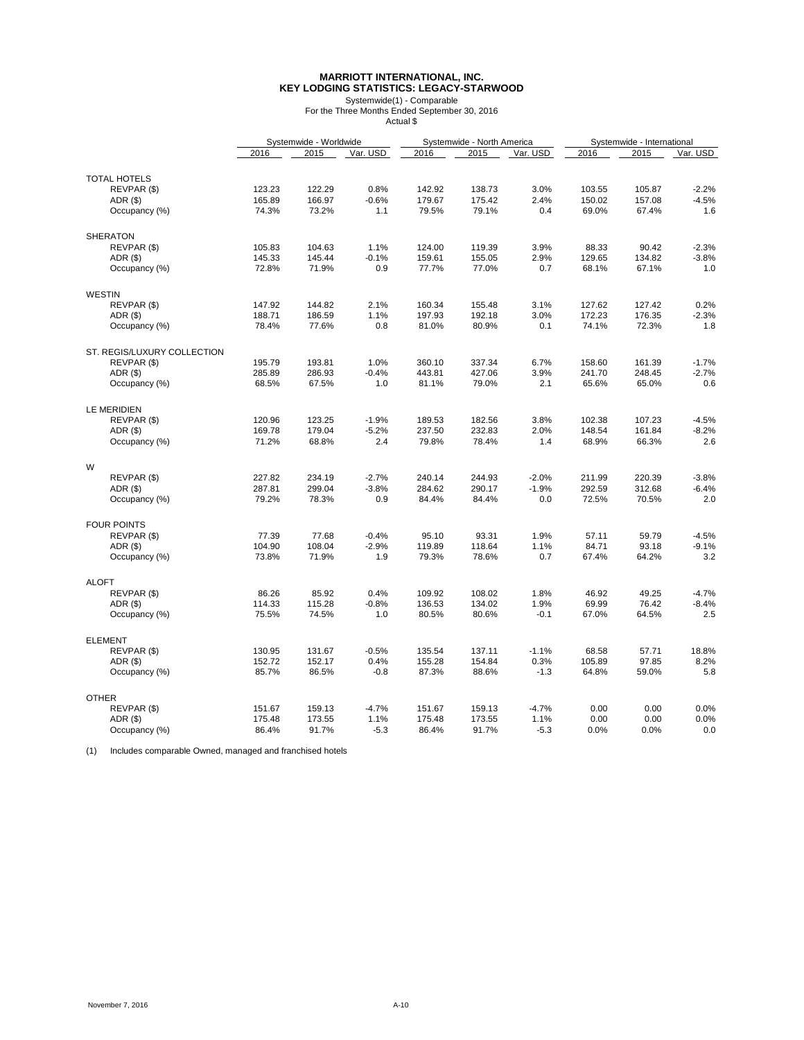## **MARRIOTT INTERNATIONAL, INC. KEY LODGING STATISTICS: LEGACY-STARWOOD**

Systemwide(1) - Comparable For the Three Months Ended September 30, 2016 Actual \$

|                             |        | Systemwide - Worldwide |                |        | Systemwide - North America |          |        | Systemwide - International |          |
|-----------------------------|--------|------------------------|----------------|--------|----------------------------|----------|--------|----------------------------|----------|
|                             | 2016   | 2015                   | Var. USD       | 2016   | 2015                       | Var. USD | 2016   | 2015                       | Var. USD |
|                             |        |                        |                |        |                            |          |        |                            |          |
| <b>TOTAL HOTELS</b>         |        |                        |                |        |                            |          |        |                            |          |
| REVPAR (\$)                 | 123.23 | 122.29                 | 0.8%           | 142.92 | 138.73                     | 3.0%     | 103.55 | 105.87                     | $-2.2%$  |
| ADR(S)                      | 165.89 | 166.97                 | $-0.6%$        | 179.67 | 175.42                     | 2.4%     | 150.02 | 157.08                     | $-4.5%$  |
| Occupancy (%)               | 74.3%  | 73.2%                  | 1.1            | 79.5%  | 79.1%                      | 0.4      | 69.0%  | 67.4%                      | 1.6      |
| <b>SHERATON</b>             |        |                        |                |        |                            |          |        |                            |          |
| REVPAR (\$)                 | 105.83 | 104.63                 | 1.1%           | 124.00 | 119.39                     | 3.9%     | 88.33  | 90.42                      | $-2.3%$  |
| ADR (\$)                    | 145.33 | 145.44                 | $-0.1%$        | 159.61 | 155.05                     | 2.9%     | 129.65 | 134.82                     | $-3.8%$  |
| Occupancy (%)               | 72.8%  | 71.9%                  | 0.9            | 77.7%  | 77.0%                      | 0.7      | 68.1%  | 67.1%                      | 1.0      |
|                             |        |                        |                |        |                            |          |        |                            |          |
| <b>WESTIN</b>               |        |                        |                |        |                            |          |        |                            |          |
| REVPAR (\$)                 | 147.92 | 144.82                 | 2.1%           | 160.34 | 155.48                     | 3.1%     | 127.62 | 127.42                     | 0.2%     |
| ADR(\$)                     | 188.71 | 186.59                 | 1.1%           | 197.93 | 192.18                     | 3.0%     | 172.23 | 176.35                     | $-2.3%$  |
| Occupancy (%)               | 78.4%  | 77.6%                  | 0.8            | 81.0%  | 80.9%                      | 0.1      | 74.1%  | 72.3%                      | 1.8      |
| ST. REGIS/LUXURY COLLECTION |        |                        |                |        |                            |          |        |                            |          |
| REVPAR (\$)                 | 195.79 | 193.81                 | 1.0%           | 360.10 | 337.34                     | 6.7%     | 158.60 | 161.39                     | $-1.7%$  |
| ADR(\$)                     | 285.89 | 286.93                 | $-0.4%$        | 443.81 | 427.06                     | 3.9%     | 241.70 | 248.45                     | $-2.7%$  |
| Occupancy (%)               | 68.5%  | 67.5%                  | 1.0            | 81.1%  | 79.0%                      | 2.1      | 65.6%  | 65.0%                      | 0.6      |
| LE MERIDIEN                 |        |                        |                |        |                            |          |        |                            |          |
| REVPAR (\$)                 | 120.96 | 123.25                 | $-1.9%$        | 189.53 | 182.56                     | 3.8%     | 102.38 | 107.23                     | $-4.5%$  |
| ADR (\$)                    | 169.78 | 179.04                 | $-5.2%$        | 237.50 | 232.83                     | 2.0%     | 148.54 | 161.84                     | $-8.2%$  |
| Occupancy (%)               | 71.2%  | 68.8%                  | 2.4            | 79.8%  | 78.4%                      | 1.4      | 68.9%  | 66.3%                      | 2.6      |
|                             |        |                        |                |        |                            |          |        |                            |          |
| W                           | 227.82 |                        |                |        | 244.93                     | $-2.0%$  |        | 220.39                     |          |
| REVPAR (\$)                 |        | 234.19                 | $-2.7%$        | 240.14 |                            |          | 211.99 |                            | $-3.8%$  |
| ADR(S)                      | 287.81 | 299.04                 | $-3.8%$        | 284.62 | 290.17                     | $-1.9%$  | 292.59 | 312.68                     | $-6.4%$  |
| Occupancy (%)               | 79.2%  | 78.3%                  | 0.9            | 84.4%  | 84.4%                      | 0.0      | 72.5%  | 70.5%                      | 2.0      |
| <b>FOUR POINTS</b>          |        |                        |                |        |                            |          |        |                            |          |
| REVPAR (\$)                 | 77.39  | 77.68                  | $-0.4%$        | 95.10  | 93.31                      | 1.9%     | 57.11  | 59.79                      | $-4.5%$  |
| ADR(S)                      | 104.90 | 108.04                 | $-2.9%$        | 119.89 | 118.64                     | 1.1%     | 84.71  | 93.18                      | $-9.1%$  |
| Occupancy (%)               | 73.8%  | 71.9%                  | 1.9            | 79.3%  | 78.6%                      | 0.7      | 67.4%  | 64.2%                      | 3.2      |
| <b>ALOFT</b>                |        |                        |                |        |                            |          |        |                            |          |
| REVPAR (\$)                 | 86.26  | 85.92                  | 0.4%           | 109.92 | 108.02                     | 1.8%     | 46.92  | 49.25                      | $-4.7%$  |
| ADR(\$)                     | 114.33 | 115.28                 | $-0.8%$        | 136.53 | 134.02                     | 1.9%     | 69.99  | 76.42                      | $-8.4%$  |
| Occupancy (%)               | 75.5%  | 74.5%                  | 1.0            | 80.5%  | 80.6%                      | $-0.1$   | 67.0%  | 64.5%                      | 2.5      |
| <b>ELEMENT</b>              |        |                        |                |        |                            |          |        |                            |          |
| REVPAR (\$)                 | 130.95 | 131.67                 | $-0.5%$        | 135.54 | 137.11                     | $-1.1%$  | 68.58  | 57.71                      | 18.8%    |
|                             |        |                        |                |        |                            |          |        |                            | 8.2%     |
| ADR (\$)                    | 152.72 | 152.17                 | 0.4%<br>$-0.8$ | 155.28 | 154.84                     | 0.3%     | 105.89 | 97.85                      |          |
| Occupancy (%)               | 85.7%  | 86.5%                  |                | 87.3%  | 88.6%                      | $-1.3$   | 64.8%  | 59.0%                      | 5.8      |
| <b>OTHER</b>                |        |                        |                |        |                            |          |        |                            |          |
| REVPAR (\$)                 | 151.67 | 159.13                 | $-4.7%$        | 151.67 | 159.13                     | $-4.7%$  | 0.00   | 0.00                       | 0.0%     |
| ADR(S)                      | 175.48 | 173.55                 | 1.1%           | 175.48 | 173.55                     | 1.1%     | 0.00   | 0.00                       | 0.0%     |
| Occupancy (%)               | 86.4%  | 91.7%                  | $-5.3$         | 86.4%  | 91.7%                      | $-5.3$   | 0.0%   | 0.0%                       | 0.0      |

(1) Includes comparable Owned, managed and franchised hotels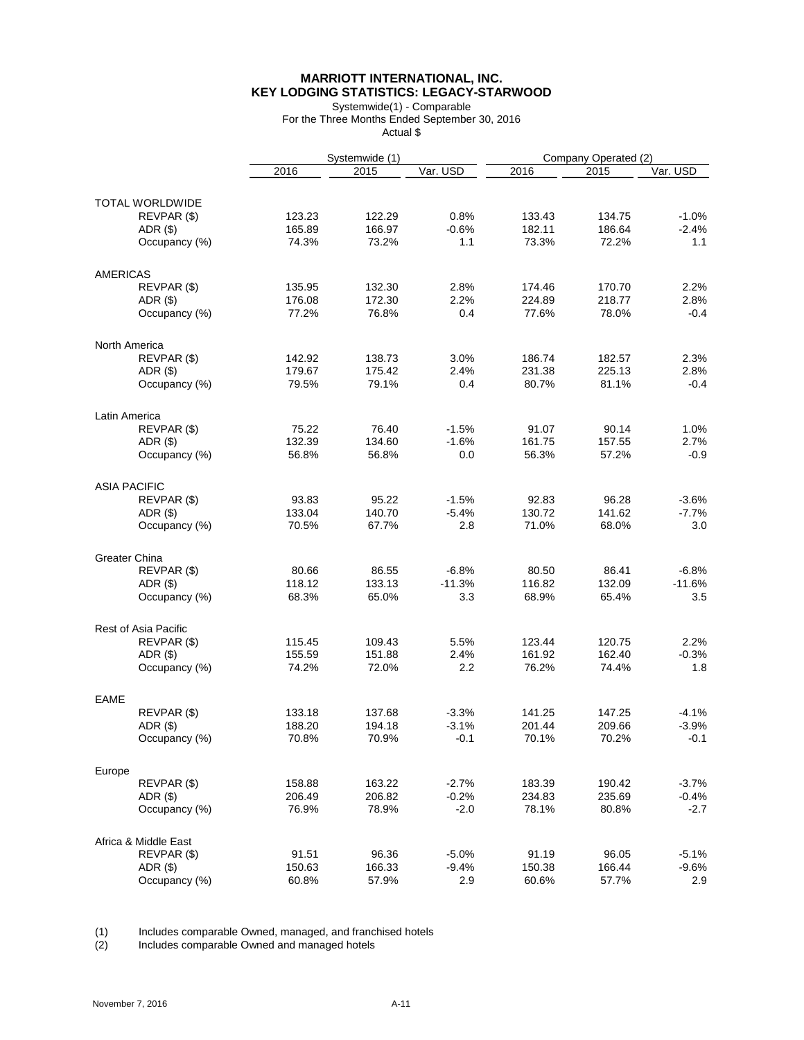# **MARRIOTT INTERNATIONAL, INC. KEY LODGING STATISTICS: LEGACY-STARWOOD**

Systemwide(1) - Comparable For the Three Months Ended September 30, 2016 Actual \$

|                        |               |                 | Systemwide (1) |          |                 | Company Operated (2) |          |  |
|------------------------|---------------|-----------------|----------------|----------|-----------------|----------------------|----------|--|
|                        |               | 2016            | 2015           | Var. USD | 2016            | 2015                 | Var. USD |  |
| <b>TOTAL WORLDWIDE</b> |               |                 |                |          |                 |                      |          |  |
|                        | REVPAR (\$)   | 123.23          | 122.29         | 0.8%     | 133.43          | 134.75               | $-1.0%$  |  |
|                        | $ADR($ \$)    | 165.89          | 166.97         | $-0.6%$  | 182.11          | 186.64               | $-2.4%$  |  |
|                        | Occupancy (%) | 74.3%           | 73.2%          | 1.1      | 73.3%           | 72.2%                | 1.1      |  |
|                        |               |                 |                |          |                 |                      |          |  |
| <b>AMERICAS</b>        |               |                 |                |          |                 |                      |          |  |
|                        | REVPAR (\$)   | 135.95          | 132.30         | 2.8%     | 174.46          | 170.70               | 2.2%     |  |
|                        | $ADR($ \$)    | 176.08          | 172.30         | 2.2%     | 224.89          | 218.77               | 2.8%     |  |
|                        | Occupancy (%) | 77.2%           | 76.8%          | 0.4      | 77.6%           | 78.0%                | -0.4     |  |
| North America          |               |                 |                |          |                 |                      |          |  |
|                        | REVPAR (\$)   | 142.92          | 138.73         | 3.0%     | 186.74          | 182.57               | 2.3%     |  |
|                        | $ADR($ \$)    | 179.67          | 175.42         | 2.4%     | 231.38          | 225.13               | 2.8%     |  |
|                        |               | 79.5%           | 79.1%          | 0.4      | 80.7%           | 81.1%                | -0.4     |  |
|                        | Occupancy (%) |                 |                |          |                 |                      |          |  |
| Latin America          |               |                 |                |          |                 |                      |          |  |
|                        | REVPAR (\$)   | 75.22           | 76.40          | $-1.5%$  | 91.07           | 90.14                | 1.0%     |  |
|                        | $ADR($ \$)    | 132.39          | 134.60         | $-1.6%$  | 161.75          | 157.55               | 2.7%     |  |
|                        | Occupancy (%) | 56.8%           | 56.8%          | 0.0      | 56.3%           | 57.2%                | -0.9     |  |
| <b>ASIA PACIFIC</b>    |               |                 |                |          |                 |                      |          |  |
|                        | REVPAR (\$)   | 93.83           | 95.22          | $-1.5%$  | 92.83           | 96.28                | $-3.6%$  |  |
|                        | $ADR($ \$)    | 133.04          | 140.70         | $-5.4%$  | 130.72          | 141.62               | $-7.7\%$ |  |
|                        | Occupancy (%) | 70.5%           | 67.7%          | 2.8      | 71.0%           | 68.0%                | 3.0      |  |
| Greater China          |               |                 |                |          |                 |                      |          |  |
|                        |               |                 |                | $-6.8%$  |                 |                      | $-6.8%$  |  |
|                        | REVPAR (\$)   | 80.66<br>118.12 | 86.55          | $-11.3%$ | 80.50<br>116.82 | 86.41<br>132.09      |          |  |
|                        | $ADR($ \$)    |                 | 133.13         |          |                 |                      | $-11.6%$ |  |
|                        | Occupancy (%) | 68.3%           | 65.0%          | 3.3      | 68.9%           | 65.4%                | 3.5      |  |
| Rest of Asia Pacific   |               |                 |                |          |                 |                      |          |  |
|                        | REVPAR (\$)   | 115.45          | 109.43         | 5.5%     | 123.44          | 120.75               | 2.2%     |  |
|                        | $ADR($ \$)    | 155.59          | 151.88         | 2.4%     | 161.92          | 162.40               | $-0.3%$  |  |
|                        | Occupancy (%) | 74.2%           | 72.0%          | $2.2\,$  | 76.2%           | 74.4%                | 1.8      |  |
| <b>EAME</b>            |               |                 |                |          |                 |                      |          |  |
|                        | REVPAR (\$)   | 133.18          | 137.68         | $-3.3%$  | 141.25          | 147.25               | $-4.1%$  |  |
|                        | ADR(\$)       | 188.20          | 194.18         | $-3.1%$  | 201.44          | 209.66               | $-3.9%$  |  |
|                        | Occupancy (%) | 70.8%           | 70.9%          | $-0.1$   | 70.1%           | 70.2%                | $-0.1$   |  |
|                        |               |                 |                |          |                 |                      |          |  |
| Europe                 |               |                 |                |          |                 |                      |          |  |
|                        | REVPAR (\$)   | 158.88          | 163.22         | $-2.7%$  | 183.39          | 190.42               | $-3.7%$  |  |
|                        | ADR(\$)       | 206.49          | 206.82         | $-0.2%$  | 234.83          | 235.69               | $-0.4%$  |  |
|                        | Occupancy (%) | 76.9%           | 78.9%          | $-2.0$   | 78.1%           | 80.8%                | -2.7     |  |
| Africa & Middle East   |               |                 |                |          |                 |                      |          |  |
|                        | REVPAR (\$)   | 91.51           | 96.36          | $-5.0%$  | 91.19           | 96.05                | $-5.1%$  |  |
|                        | ADR(\$)       | 150.63          | 166.33         | $-9.4%$  | 150.38          | 166.44               | $-9.6%$  |  |
|                        | Occupancy (%) | 60.8%           | 57.9%          | 2.9      | 60.6%           | 57.7%                | 2.9      |  |

(1) Includes comparable Owned, managed, and franchised hotels

(2) Includes comparable Owned and managed hotels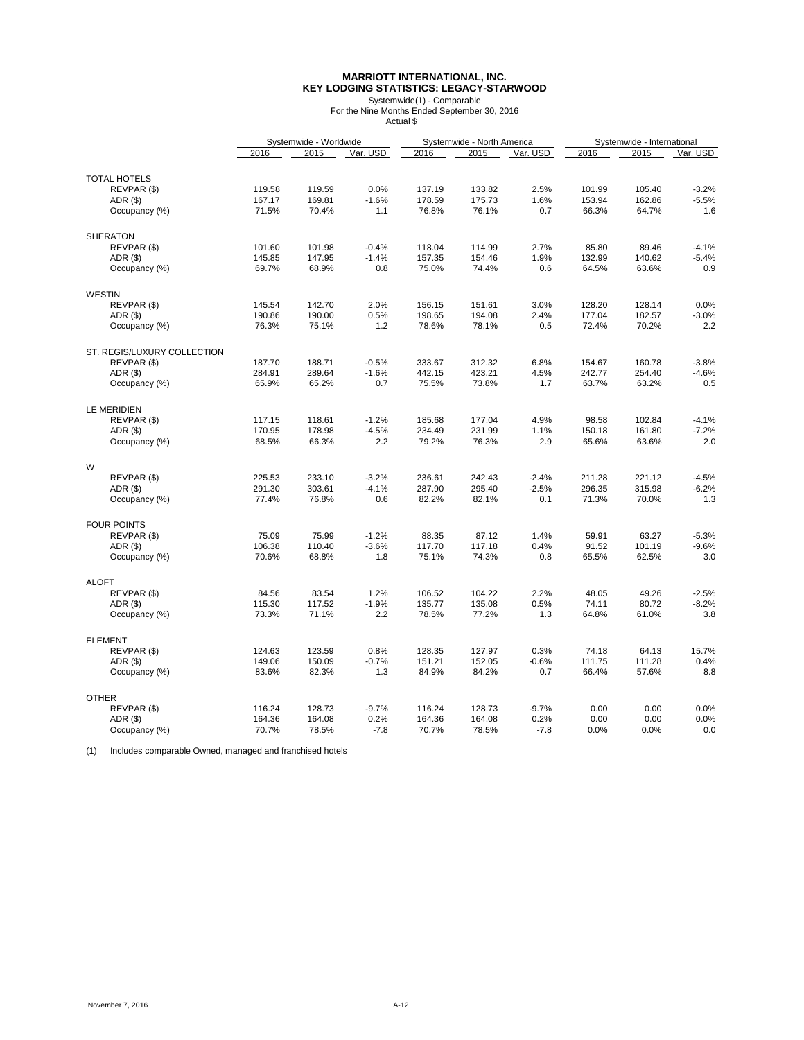### **MARRIOTT INTERNATIONAL, INC. KEY LODGING STATISTICS: LEGACY-STARWOOD**

Systemwide(1) - Comparable For the Nine Months Ended September 30, 2016 Actual \$

|               |                             |        | Systemwide - Worldwide |          |        | Systemwide - North America |          |        |        | Systemwide - International |  |
|---------------|-----------------------------|--------|------------------------|----------|--------|----------------------------|----------|--------|--------|----------------------------|--|
|               |                             | 2016   | 2015                   | Var. USD | 2016   | 2015                       | Var. USD | 2016   | 2015   | Var. USD                   |  |
|               |                             |        |                        |          |        |                            |          |        |        |                            |  |
|               | <b>TOTAL HOTELS</b>         |        |                        |          |        |                            |          |        |        |                            |  |
|               | REVPAR (\$)                 | 119.58 | 119.59                 | 0.0%     | 137.19 | 133.82                     | 2.5%     | 101.99 | 105.40 | $-3.2%$                    |  |
|               | ADR (\$)                    | 167.17 | 169.81                 | $-1.6%$  | 178.59 | 175.73                     | 1.6%     | 153.94 | 162.86 | $-5.5%$                    |  |
|               | Occupancy (%)               | 71.5%  | 70.4%                  | 1.1      | 76.8%  | 76.1%                      | 0.7      | 66.3%  | 64.7%  | 1.6                        |  |
|               | <b>SHERATON</b>             |        |                        |          |        |                            |          |        |        |                            |  |
|               | REVPAR (\$)                 | 101.60 | 101.98                 | $-0.4%$  | 118.04 | 114.99                     | 2.7%     | 85.80  | 89.46  | $-4.1%$                    |  |
|               | ADR(\$)                     | 145.85 | 147.95                 | $-1.4%$  | 157.35 | 154.46                     | 1.9%     | 132.99 | 140.62 | $-5.4%$                    |  |
|               | Occupancy (%)               | 69.7%  | 68.9%                  | 0.8      | 75.0%  | 74.4%                      | 0.6      | 64.5%  | 63.6%  | 0.9                        |  |
|               |                             |        |                        |          |        |                            |          |        |        |                            |  |
| <b>WESTIN</b> |                             |        |                        |          |        |                            |          |        |        |                            |  |
|               | REVPAR (\$)                 | 145.54 | 142.70                 | 2.0%     | 156.15 | 151.61                     | 3.0%     | 128.20 | 128.14 | 0.0%                       |  |
|               | ADR(\$)                     | 190.86 | 190.00                 | 0.5%     | 198.65 | 194.08                     | 2.4%     | 177.04 | 182.57 | $-3.0%$                    |  |
|               | Occupancy (%)               | 76.3%  | 75.1%                  | 1.2      | 78.6%  | 78.1%                      | 0.5      | 72.4%  | 70.2%  | 2.2                        |  |
|               | ST. REGIS/LUXURY COLLECTION |        |                        |          |        |                            |          |        |        |                            |  |
|               | REVPAR (\$)                 | 187.70 | 188.71                 | $-0.5%$  | 333.67 | 312.32                     | 6.8%     | 154.67 | 160.78 | $-3.8%$                    |  |
|               | $ADR($ \$)                  | 284.91 | 289.64                 | $-1.6%$  | 442.15 | 423.21                     | 4.5%     | 242.77 | 254.40 | $-4.6%$                    |  |
|               | Occupancy (%)               | 65.9%  | 65.2%                  | 0.7      | 75.5%  | 73.8%                      | 1.7      | 63.7%  | 63.2%  | 0.5                        |  |
|               |                             |        |                        |          |        |                            |          |        |        |                            |  |
|               | <b>LE MERIDIEN</b>          |        |                        |          |        |                            |          |        |        |                            |  |
|               | REVPAR (\$)                 | 117.15 | 118.61                 | $-1.2%$  | 185.68 | 177.04                     | 4.9%     | 98.58  | 102.84 | $-4.1%$                    |  |
|               | ADR (\$)                    | 170.95 | 178.98                 | $-4.5%$  | 234.49 | 231.99                     | 1.1%     | 150.18 | 161.80 | $-7.2%$                    |  |
|               | Occupancy (%)               | 68.5%  | 66.3%                  | 2.2      | 79.2%  | 76.3%                      | 2.9      | 65.6%  | 63.6%  | 2.0                        |  |
| W             |                             |        |                        |          |        |                            |          |        |        |                            |  |
|               | REVPAR (\$)                 | 225.53 | 233.10                 | $-3.2%$  | 236.61 | 242.43                     | $-2.4%$  | 211.28 | 221.12 | $-4.5%$                    |  |
|               | ADR(\$)                     | 291.30 | 303.61                 | $-4.1%$  | 287.90 | 295.40                     | $-2.5%$  | 296.35 | 315.98 | $-6.2%$                    |  |
|               | Occupancy (%)               | 77.4%  | 76.8%                  | 0.6      | 82.2%  | 82.1%                      | 0.1      | 71.3%  | 70.0%  | 1.3                        |  |
|               |                             |        |                        |          |        |                            |          |        |        |                            |  |
|               | <b>FOUR POINTS</b>          |        |                        |          |        |                            |          |        |        |                            |  |
|               | REVPAR (\$)                 | 75.09  | 75.99                  | $-1.2%$  | 88.35  | 87.12                      | 1.4%     | 59.91  | 63.27  | $-5.3%$                    |  |
|               | ADR(\$)                     | 106.38 | 110.40                 | $-3.6%$  | 117.70 | 117.18                     | 0.4%     | 91.52  | 101.19 | $-9.6%$                    |  |
|               | Occupancy (%)               | 70.6%  | 68.8%                  | 1.8      | 75.1%  | 74.3%                      | 0.8      | 65.5%  | 62.5%  | 3.0                        |  |
| <b>ALOFT</b>  |                             |        |                        |          |        |                            |          |        |        |                            |  |
|               | REVPAR (\$)                 | 84.56  | 83.54                  | 1.2%     | 106.52 | 104.22                     | 2.2%     | 48.05  | 49.26  | $-2.5%$                    |  |
|               | ADR(\$)                     | 115.30 | 117.52                 | $-1.9%$  | 135.77 | 135.08                     | 0.5%     | 74.11  | 80.72  | $-8.2%$                    |  |
|               | Occupancy (%)               | 73.3%  | 71.1%                  | 2.2      | 78.5%  | 77.2%                      | 1.3      | 64.8%  | 61.0%  | 3.8                        |  |
|               |                             |        |                        |          |        |                            |          |        |        |                            |  |
|               | <b>ELEMENT</b>              |        |                        |          |        |                            |          |        |        |                            |  |
|               | REVPAR (\$)                 | 124.63 | 123.59                 | 0.8%     | 128.35 | 127.97                     | 0.3%     | 74.18  | 64.13  | 15.7%                      |  |
|               | ADR(\$)                     | 149.06 | 150.09                 | $-0.7%$  | 151.21 | 152.05                     | $-0.6%$  | 111.75 | 111.28 | 0.4%                       |  |
|               | Occupancy (%)               | 83.6%  | 82.3%                  | 1.3      | 84.9%  | 84.2%                      | 0.7      | 66.4%  | 57.6%  | 8.8                        |  |
| <b>OTHER</b>  |                             |        |                        |          |        |                            |          |        |        |                            |  |
|               | REVPAR (\$)                 | 116.24 | 128.73                 | $-9.7%$  | 116.24 | 128.73                     | $-9.7%$  | 0.00   | 0.00   | 0.0%                       |  |
|               | ADR(\$)                     | 164.36 | 164.08                 | 0.2%     | 164.36 | 164.08                     | 0.2%     | 0.00   | 0.00   | 0.0%                       |  |
|               | Occupancy (%)               | 70.7%  | 78.5%                  | $-7.8$   | 70.7%  | 78.5%                      | $-7.8$   | 0.0%   | 0.0%   | 0.0                        |  |

(1) Includes comparable Owned, managed and franchised hotels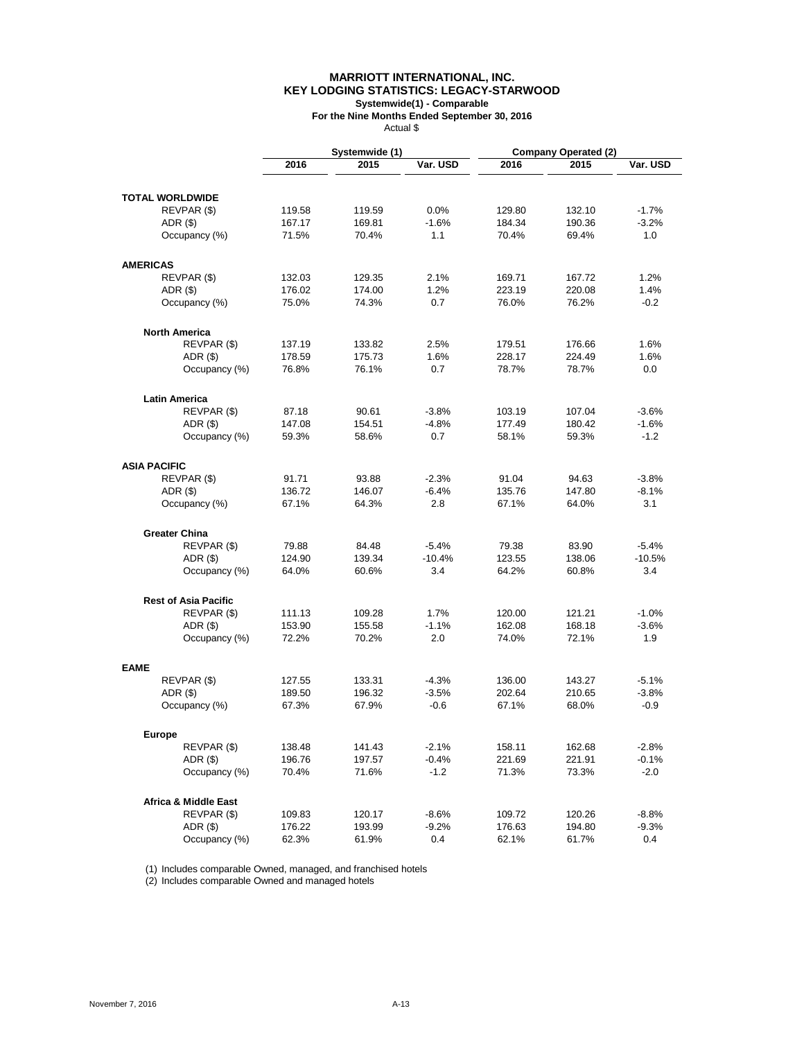### **MARRIOTT INTERNATIONAL, INC. KEY LODGING STATISTICS: LEGACY-STARWOOD Systemwide(1) - Comparable**

**For the Nine Months Ended September 30, 2016** Actual \$

|                                 |        | Systemwide (1) |          |        | <b>Company Operated (2)</b> |          |
|---------------------------------|--------|----------------|----------|--------|-----------------------------|----------|
|                                 | 2016   | 2015           | Var. USD | 2016   | 2015                        | Var. USD |
| <b>TOTAL WORLDWIDE</b>          |        |                |          |        |                             |          |
| REVPAR (\$)                     | 119.58 | 119.59         | 0.0%     | 129.80 | 132.10                      | $-1.7%$  |
| ADR(S)                          | 167.17 | 169.81         | $-1.6%$  | 184.34 | 190.36                      | $-3.2%$  |
| Occupancy (%)                   | 71.5%  | 70.4%          | 1.1      | 70.4%  | 69.4%                       | 1.0      |
| <b>AMERICAS</b>                 |        |                |          |        |                             |          |
| REVPAR (\$)                     | 132.03 | 129.35         | 2.1%     | 169.71 | 167.72                      | 1.2%     |
| $ADR($ \$)                      | 176.02 | 174.00         | 1.2%     | 223.19 | 220.08                      | 1.4%     |
| Occupancy (%)                   | 75.0%  | 74.3%          | 0.7      | 76.0%  | 76.2%                       | $-0.2$   |
| <b>North America</b>            |        |                |          |        |                             |          |
| REVPAR (\$)                     | 137.19 | 133.82         | 2.5%     | 179.51 | 176.66                      | 1.6%     |
| $ADR($ \$)                      | 178.59 | 175.73         | 1.6%     | 228.17 | 224.49                      | 1.6%     |
| Occupancy (%)                   | 76.8%  | 76.1%          | 0.7      | 78.7%  | 78.7%                       | 0.0      |
| <b>Latin America</b>            |        |                |          |        |                             |          |
| REVPAR (\$)                     | 87.18  | 90.61          | $-3.8%$  | 103.19 | 107.04                      | $-3.6%$  |
| ADR (\$)                        | 147.08 | 154.51         | $-4.8%$  | 177.49 | 180.42                      | $-1.6%$  |
| Occupancy (%)                   | 59.3%  | 58.6%          | 0.7      | 58.1%  | 59.3%                       | $-1.2$   |
| <b>ASIA PACIFIC</b>             |        |                |          |        |                             |          |
| REVPAR (\$)                     | 91.71  | 93.88          | $-2.3%$  | 91.04  | 94.63                       | $-3.8%$  |
| $ADR($ \$)                      | 136.72 | 146.07         | $-6.4%$  | 135.76 | 147.80                      | $-8.1%$  |
| Occupancy (%)                   | 67.1%  | 64.3%          | 2.8      | 67.1%  | 64.0%                       | 3.1      |
| <b>Greater China</b>            |        |                |          |        |                             |          |
| REVPAR (\$)                     | 79.88  | 84.48          | $-5.4%$  | 79.38  | 83.90                       | $-5.4%$  |
| $ADR($ \$)                      | 124.90 | 139.34         | $-10.4%$ | 123.55 | 138.06                      | $-10.5%$ |
| Occupancy (%)                   | 64.0%  | 60.6%          | 3.4      | 64.2%  | 60.8%                       | 3.4      |
| <b>Rest of Asia Pacific</b>     |        |                |          |        |                             |          |
| REVPAR (\$)                     | 111.13 | 109.28         | 1.7%     | 120.00 | 121.21                      | $-1.0%$  |
| ADR (\$)                        | 153.90 | 155.58         | $-1.1%$  | 162.08 | 168.18                      | $-3.6%$  |
| Occupancy (%)                   | 72.2%  | 70.2%          | 2.0      | 74.0%  | 72.1%                       | 1.9      |
| <b>EAME</b>                     |        |                |          |        |                             |          |
| REVPAR (\$)                     | 127.55 | 133.31         | $-4.3%$  | 136.00 | 143.27                      | $-5.1%$  |
| ADR (\$)                        | 189.50 | 196.32         | $-3.5%$  | 202.64 | 210.65                      | $-3.8%$  |
| Occupancy (%)                   | 67.3%  | 67.9%          | $-0.6$   | 67.1%  | 68.0%                       | $-0.9$   |
| Europe                          |        |                |          |        |                             |          |
| REVPAR (\$)                     | 138.48 | 141.43         | $-2.1%$  | 158.11 | 162.68                      | $-2.8%$  |
| ADR(S)                          | 196.76 | 197.57         | $-0.4%$  | 221.69 | 221.91                      | $-0.1%$  |
| Occupancy (%)                   | 70.4%  | 71.6%          | $-1.2$   | 71.3%  | 73.3%                       | $-2.0$   |
| <b>Africa &amp; Middle East</b> |        |                |          |        |                             |          |
| REVPAR (\$)                     | 109.83 | 120.17         | $-8.6%$  | 109.72 | 120.26                      | $-8.8%$  |
| ADR (\$)                        | 176.22 | 193.99         | $-9.2%$  | 176.63 | 194.80                      | $-9.3%$  |
| Occupancy (%)                   | 62.3%  | 61.9%          | 0.4      | 62.1%  | 61.7%                       | 0.4      |

(1) Includes comparable Owned, managed, and franchised hotels

(2) Includes comparable Owned and managed hotels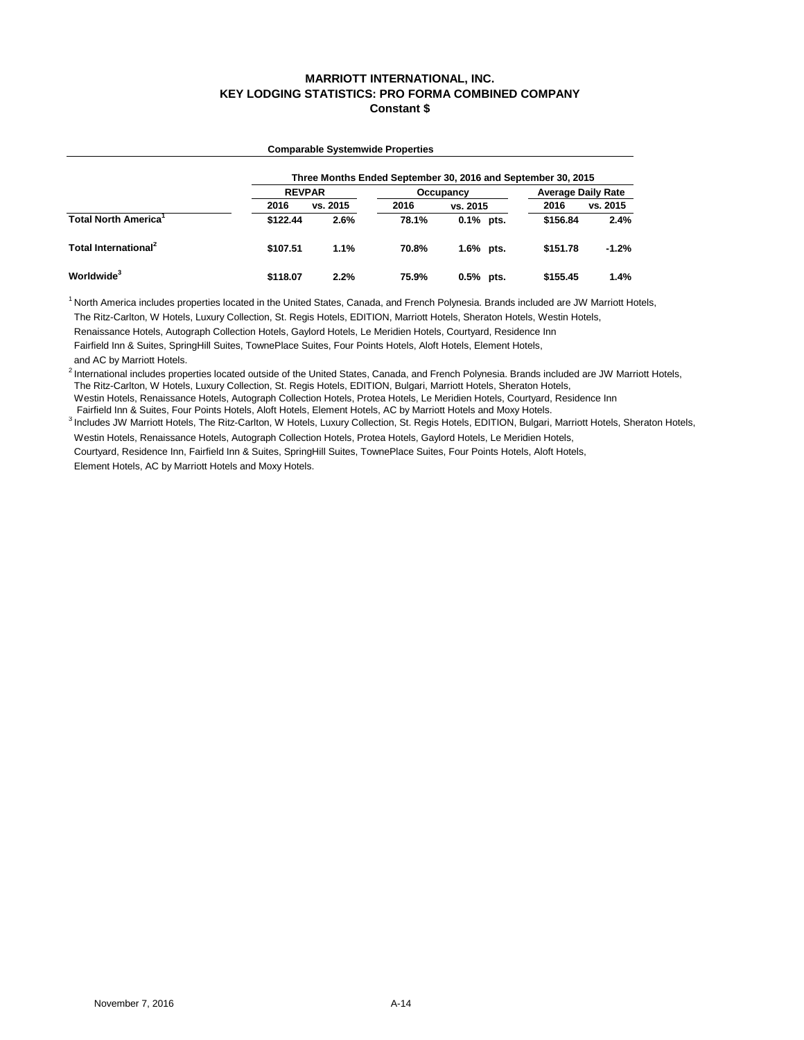# **MARRIOTT INTERNATIONAL, INC. KEY LODGING STATISTICS: PRO FORMA COMBINED COMPANY Constant \$**

|                                         |               |          |       | Three Months Ended September 30, 2016 and September 30, 2015 |                           |          |  |  |
|-----------------------------------------|---------------|----------|-------|--------------------------------------------------------------|---------------------------|----------|--|--|
|                                         | <b>REVPAR</b> |          |       | Occupancy                                                    | <b>Average Daily Rate</b> |          |  |  |
|                                         | 2016          | vs. 2015 | 2016  | vs. 2015                                                     | 2016                      | vs. 2015 |  |  |
| <b>Total North America</b> <sup>1</sup> | \$122.44      | 2.6%     | 78.1% | $0.1\%$ pts.                                                 | \$156.84                  | 2.4%     |  |  |
| Total International <sup>2</sup>        | \$107.51      | 1.1%     | 70.8% | 1.6% pts.                                                    | \$151.78                  | $-1.2%$  |  |  |
| Worldwide <sup>3</sup>                  | \$118.07      | 2.2%     | 75.9% | $0.5%$ pts.                                                  | \$155.45                  | 1.4%     |  |  |

**Comparable Systemwide Properties**

<sup>1</sup> North America includes properties located in the United States, Canada, and French Polynesia. Brands included are JW Marriott Hotels, The Ritz-Carlton, W Hotels, Luxury Collection, St. Regis Hotels, EDITION, Marriott Hotels, Sheraton Hotels, Westin Hotels,

Renaissance Hotels, Autograph Collection Hotels, Gaylord Hotels, Le Meridien Hotels, Courtyard, Residence Inn

 Fairfield Inn & Suites, SpringHill Suites, TownePlace Suites, Four Points Hotels, Aloft Hotels, Element Hotels, and AC by Marriott Hotels.

<sup>2</sup> International includes properties located outside of the United States, Canada, and French Polynesia. Brands included are JW Marriott Hotels, The Ritz-Carlton, W Hotels, Luxury Collection, St. Regis Hotels, EDITION, Bulgari, Marriott Hotels, Sheraton Hotels,

 Westin Hotels, Renaissance Hotels, Autograph Collection Hotels, Protea Hotels, Le Meridien Hotels, Courtyard, Residence Inn Fairfield Inn & Suites, Four Points Hotels, Aloft Hotels, Element Hotels, AC by Marriott Hotels and Moxy Hotels.

<sup>3</sup> Includes JW Marriott Hotels, The Ritz-Carlton, W Hotels, Luxury Collection, St. Regis Hotels, EDITION, Bulgari, Marriott Hotels, Sheraton Hotels,

Westin Hotels, Renaissance Hotels, Autograph Collection Hotels, Protea Hotels, Gaylord Hotels, Le Meridien Hotels,

 Courtyard, Residence Inn, Fairfield Inn & Suites, SpringHill Suites, TownePlace Suites, Four Points Hotels, Aloft Hotels, Element Hotels, AC by Marriott Hotels and Moxy Hotels.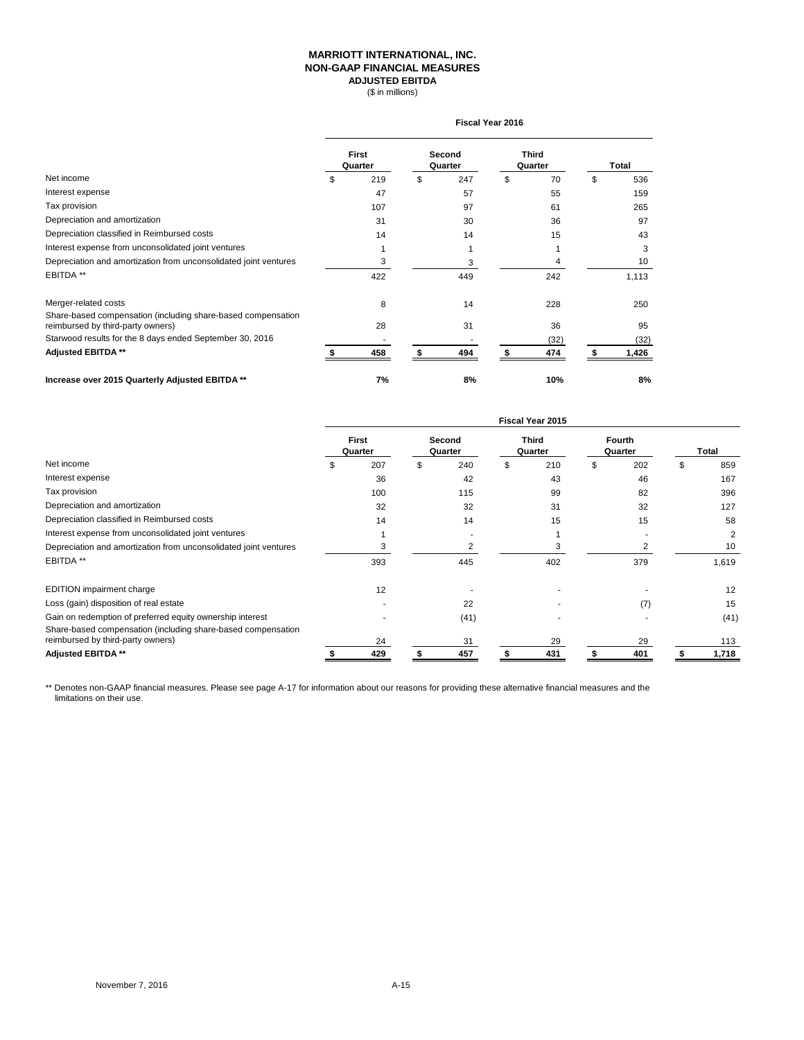## **MARRIOTT INTERNATIONAL, INC. NON-GAAP FINANCIAL MEASURES ADJUSTED EBITDA**

(\$ in millions)

|                                                                                                   | <b>Fiscal Year 2016</b> |                         |    |                   |    |                         |    |       |  |  |
|---------------------------------------------------------------------------------------------------|-------------------------|-------------------------|----|-------------------|----|-------------------------|----|-------|--|--|
|                                                                                                   |                         | <b>First</b><br>Quarter |    | Second<br>Quarter |    | <b>Third</b><br>Quarter |    | Total |  |  |
| Net income                                                                                        | \$                      | 219                     | \$ | 247               | \$ | 70                      | \$ | 536   |  |  |
| Interest expense                                                                                  |                         | 47                      |    | 57                |    | 55                      |    | 159   |  |  |
| Tax provision                                                                                     |                         | 107                     |    | 97                |    | 61                      |    | 265   |  |  |
| Depreciation and amortization                                                                     |                         | 31                      |    | 30                |    | 36                      |    | 97    |  |  |
| Depreciation classified in Reimbursed costs                                                       |                         | 14                      |    | 14                |    | 15                      |    | 43    |  |  |
| Interest expense from unconsolidated joint ventures                                               |                         |                         |    |                   |    |                         |    | 3     |  |  |
| Depreciation and amortization from unconsolidated joint ventures                                  |                         | 3                       |    | 3                 |    |                         |    | 10    |  |  |
| EBITDA **                                                                                         |                         | 422                     |    | 449               |    | 242                     |    | 1,113 |  |  |
| Merger-related costs                                                                              |                         | 8                       |    | 14                |    | 228                     |    | 250   |  |  |
| Share-based compensation (including share-based compensation<br>reimbursed by third-party owners) |                         | 28                      |    | 31                |    | 36                      |    | 95    |  |  |
| Starwood results for the 8 days ended September 30, 2016                                          |                         |                         |    |                   |    | (32)                    |    | (32)  |  |  |
| <b>Adjusted EBITDA **</b>                                                                         |                         | 458                     |    | 494               |    | 474                     |    | 1,426 |  |  |
| Increase over 2015 Quarterly Adjusted EBITDA **                                                   |                         | 7%                      |    | 8%                |    | 10%                     |    | 8%    |  |  |

|                                                                                                                           | Fiscal Year 2015        |     |                   |      |                         |     |                          |     |    |       |
|---------------------------------------------------------------------------------------------------------------------------|-------------------------|-----|-------------------|------|-------------------------|-----|--------------------------|-----|----|-------|
|                                                                                                                           | <b>First</b><br>Quarter |     | Second<br>Quarter |      | <b>Third</b><br>Quarter |     | <b>Fourth</b><br>Quarter |     |    | Total |
| Net income                                                                                                                |                         | 207 | \$                | 240  | \$                      | 210 | \$                       | 202 | \$ | 859   |
| Interest expense                                                                                                          |                         | 36  |                   | 42   |                         | 43  |                          | 46  |    | 167   |
| Tax provision                                                                                                             |                         | 100 |                   | 115  |                         | 99  |                          | 82  |    | 396   |
| Depreciation and amortization                                                                                             |                         | 32  |                   | 32   |                         | 31  |                          | 32  |    | 127   |
| Depreciation classified in Reimbursed costs                                                                               |                         | 14  |                   | 14   |                         | 15  |                          | 15  |    | 58    |
| Interest expense from unconsolidated joint ventures                                                                       |                         |     |                   |      |                         |     |                          |     |    | 2     |
| Depreciation and amortization from unconsolidated joint ventures                                                          |                         | 3   |                   |      |                         | 3   |                          |     |    | 10    |
| EBITDA <sup>**</sup>                                                                                                      |                         | 393 |                   | 445  |                         | 402 |                          | 379 |    | 1,619 |
| EDITION impairment charge                                                                                                 |                         | 12  |                   |      |                         |     |                          |     |    | 12    |
| Loss (gain) disposition of real estate                                                                                    |                         |     |                   | 22   |                         |     |                          | (7) |    | 15    |
| Gain on redemption of preferred equity ownership interest<br>Share-based compensation (including share-based compensation |                         |     |                   | (41) |                         |     |                          |     |    | (41)  |
| reimbursed by third-party owners)                                                                                         |                         | 24  |                   | 31   |                         | 29  |                          | 29  |    | 113   |
| Adjusted EBITDA **                                                                                                        |                         | 429 |                   | 457  |                         | 431 |                          | 401 |    | 1,718 |

\*\* Denotes non-GAAP financial measures. Please see page A-17 for information about our reasons for providing these alternative financial measures and the limitations on their use.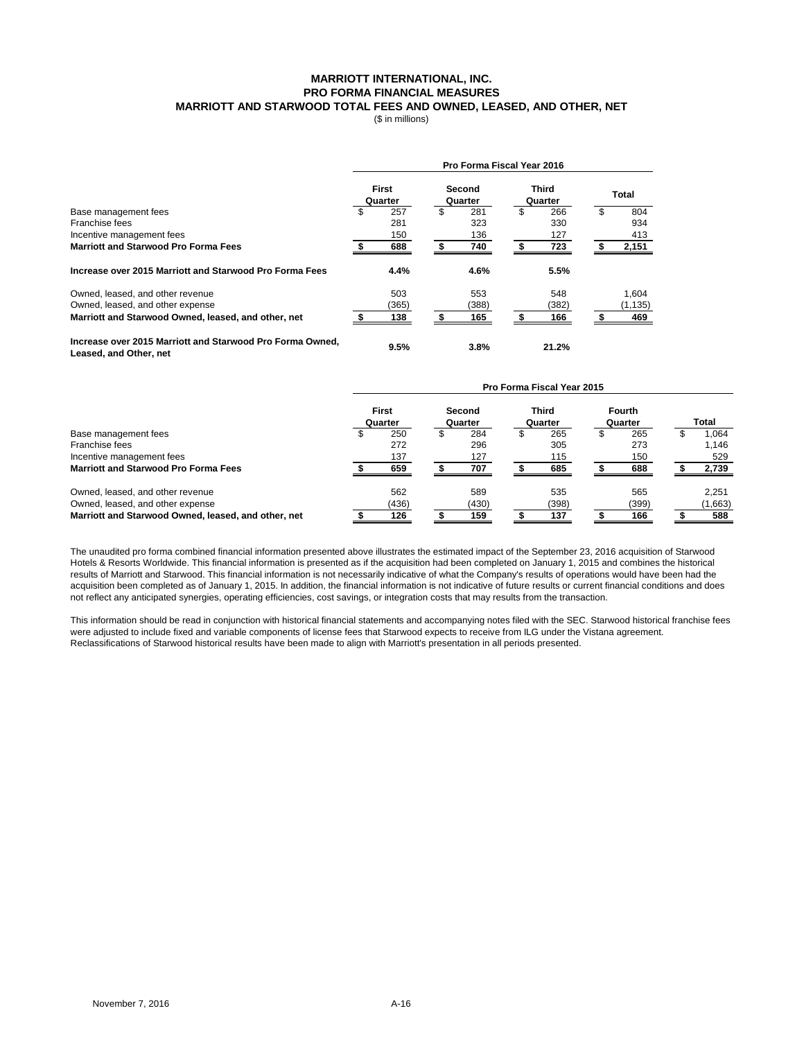### **MARRIOTT INTERNATIONAL, INC. PRO FORMA FINANCIAL MEASURES MARRIOTT AND STARWOOD TOTAL FEES AND OWNED, LEASED, AND OTHER, NET**

(\$ in millions)

|                                                                                     |                         | Pro Forma Fiscal Year 2016 |                         |              |
|-------------------------------------------------------------------------------------|-------------------------|----------------------------|-------------------------|--------------|
|                                                                                     | <b>First</b><br>Quarter | Second<br>Quarter          | <b>Third</b><br>Quarter | <b>Total</b> |
| Base management fees                                                                | \$<br>257               | \$<br>281                  | \$<br>266               | 804          |
| Franchise fees                                                                      | 281                     | 323                        | 330                     | 934          |
| Incentive management fees                                                           | 150                     | 136                        | 127                     | 413          |
| <b>Marriott and Starwood Pro Forma Fees</b>                                         | 688                     | 740                        | 723                     | 2,151        |
| Increase over 2015 Marriott and Starwood Pro Forma Fees                             | 4.4%                    | 4.6%                       | 5.5%                    |              |
| Owned, leased, and other revenue                                                    | 503                     | 553                        | 548                     | 1.604        |
| Owned, leased, and other expense                                                    | (365)                   | (388)                      | (382)                   | (1, 135)     |
| Marriott and Starwood Owned, leased, and other, net                                 | 138                     | 165                        | 166                     | 469          |
| Increase over 2015 Marriott and Starwood Pro Forma Owned.<br>Leased, and Other, net | 9.5%                    | $3.8\%$                    | 21.2%                   |              |

|                                                     | Pro Forma Fiscal Year 2015 |              |         |        |         |              |         |               |       |         |  |
|-----------------------------------------------------|----------------------------|--------------|---------|--------|---------|--------------|---------|---------------|-------|---------|--|
|                                                     |                            | <b>First</b> |         | Second |         | <b>Third</b> |         | <b>Fourth</b> |       |         |  |
|                                                     | Quarter                    |              | Quarter |        | Quarter |              | Quarter |               | Total |         |  |
| Base management fees                                |                            | 250          |         | 284    |         | 265          |         | 265           |       | 1,064   |  |
| Franchise fees                                      |                            | 272          |         | 296    |         | 305          |         | 273           |       | 1.146   |  |
| Incentive management fees                           |                            | 137          |         | 127    |         | 115          |         | 150           |       | 529     |  |
| <b>Marriott and Starwood Pro Forma Fees</b>         |                            | 659          |         | 707    |         | 685          |         | 688           |       | 2,739   |  |
| Owned, leased, and other revenue                    |                            | 562          |         | 589    |         | 535          |         | 565           |       | 2,251   |  |
| Owned, leased, and other expense                    |                            | (436)        |         | (430)  |         | (398)        |         | (399)         |       | (1,663) |  |
| Marriott and Starwood Owned, leased, and other, net |                            | 126          |         | 159    |         | 137          |         | 166           |       | 588     |  |

The unaudited pro forma combined financial information presented above illustrates the estimated impact of the September 23, 2016 acquisition of Starwood Hotels & Resorts Worldwide. This financial information is presented as if the acquisition had been completed on January 1, 2015 and combines the historical results of Marriott and Starwood. This financial information is not necessarily indicative of what the Company's results of operations would have been had the acquisition been completed as of January 1, 2015. In addition, the financial information is not indicative of future results or current financial conditions and does not reflect any anticipated synergies, operating efficiencies, cost savings, or integration costs that may results from the transaction.

This information should be read in conjunction with historical financial statements and accompanying notes filed with the SEC. Starwood historical franchise fees were adjusted to include fixed and variable components of license fees that Starwood expects to receive from ILG under the Vistana agreement. Reclassifications of Starwood historical results have been made to align with Marriott's presentation in all periods presented.